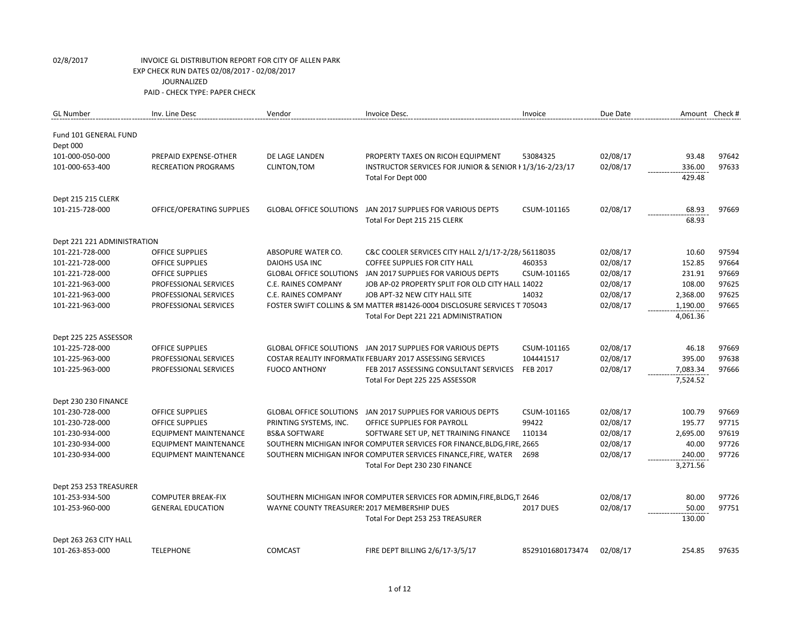| <b>GL Number</b>            | Inv. Line Desc               | Vendor                                       | Invoice Desc.                                                             | Invoice          | Due Date | Amount Check # |       |
|-----------------------------|------------------------------|----------------------------------------------|---------------------------------------------------------------------------|------------------|----------|----------------|-------|
| Fund 101 GENERAL FUND       |                              |                                              |                                                                           |                  |          |                |       |
| Dept 000                    |                              |                                              |                                                                           |                  |          |                |       |
| 101-000-050-000             | PREPAID EXPENSE-OTHER        | DE LAGE LANDEN                               | PROPERTY TAXES ON RICOH EQUIPMENT                                         | 53084325         | 02/08/17 | 93.48          | 97642 |
| 101-000-653-400             | <b>RECREATION PROGRAMS</b>   | CLINTON, TOM                                 | INSTRUCTOR SERVICES FOR JUNIOR & SENIOR I 1/3/16-2/23/17                  |                  | 02/08/17 | 336.00         | 97633 |
|                             |                              |                                              | Total For Dept 000                                                        |                  |          | 429.48         |       |
| Dept 215 215 CLERK          |                              |                                              |                                                                           |                  |          |                |       |
| 101-215-728-000             | OFFICE/OPERATING SUPPLIES    | <b>GLOBAL OFFICE SOLUTIONS</b>               | JAN 2017 SUPPLIES FOR VARIOUS DEPTS                                       | CSUM-101165      | 02/08/17 | 68.93          | 97669 |
|                             |                              |                                              | Total For Dept 215 215 CLERK                                              |                  |          | 68.93          |       |
| Dept 221 221 ADMINISTRATION |                              |                                              |                                                                           |                  |          |                |       |
| 101-221-728-000             | <b>OFFICE SUPPLIES</b>       | ABSOPURE WATER CO.                           | C&C COOLER SERVICES CITY HALL 2/1/17-2/28/56118035                        |                  | 02/08/17 | 10.60          | 97594 |
| 101-221-728-000             | <b>OFFICE SUPPLIES</b>       | <b>DAIOHS USA INC</b>                        | <b>COFFEE SUPPLIES FOR CITY HALL</b>                                      | 460353           | 02/08/17 | 152.85         | 97664 |
| 101-221-728-000             | <b>OFFICE SUPPLIES</b>       | <b>GLOBAL OFFICE SOLUTIONS</b>               | JAN 2017 SUPPLIES FOR VARIOUS DEPTS                                       | CSUM-101165      | 02/08/17 | 231.91         | 97669 |
| 101-221-963-000             | PROFESSIONAL SERVICES        | C.E. RAINES COMPANY                          | JOB AP-02 PROPERTY SPLIT FOR OLD CITY HALL 14022                          |                  | 02/08/17 | 108.00         | 97625 |
| 101-221-963-000             | PROFESSIONAL SERVICES        | C.E. RAINES COMPANY                          | JOB APT-32 NEW CITY HALL SITE                                             | 14032            | 02/08/17 | 2,368.00       | 97625 |
| 101-221-963-000             | PROFESSIONAL SERVICES        |                                              | FOSTER SWIFT COLLINS & SM MATTER #81426-0004 DISCLOSURE SERVICES T 705043 |                  | 02/08/17 | 1,190.00       | 97665 |
|                             |                              |                                              | Total For Dept 221 221 ADMINISTRATION                                     |                  |          | 4,061.36       |       |
| Dept 225 225 ASSESSOR       |                              |                                              |                                                                           |                  |          |                |       |
| 101-225-728-000             | <b>OFFICE SUPPLIES</b>       |                                              | GLOBAL OFFICE SOLUTIONS JAN 2017 SUPPLIES FOR VARIOUS DEPTS               | CSUM-101165      | 02/08/17 | 46.18          | 97669 |
| 101-225-963-000             | PROFESSIONAL SERVICES        |                                              | COSTAR REALITY INFORMATI( FEBUARY 2017 ASSESSING SERVICES                 | 104441517        | 02/08/17 | 395.00         | 97638 |
| 101-225-963-000             | PROFESSIONAL SERVICES        | <b>FUOCO ANTHONY</b>                         | FEB 2017 ASSESSING CONSULTANT SERVICES                                    | <b>FEB 2017</b>  | 02/08/17 | 7,083.34       | 97666 |
|                             |                              |                                              | Total For Dept 225 225 ASSESSOR                                           |                  |          | 7,524.52       |       |
| Dept 230 230 FINANCE        |                              |                                              |                                                                           |                  |          |                |       |
| 101-230-728-000             | <b>OFFICE SUPPLIES</b>       | <b>GLOBAL OFFICE SOLUTIONS</b>               | JAN 2017 SUPPLIES FOR VARIOUS DEPTS                                       | CSUM-101165      | 02/08/17 | 100.79         | 97669 |
| 101-230-728-000             | <b>OFFICE SUPPLIES</b>       | PRINTING SYSTEMS, INC.                       | OFFICE SUPPLIES FOR PAYROLL                                               | 99422            | 02/08/17 | 195.77         | 97715 |
| 101-230-934-000             | <b>EQUIPMENT MAINTENANCE</b> | <b>BS&amp;A SOFTWARE</b>                     | SOFTWARE SET UP, NET TRAINING FINANCE                                     | 110134           | 02/08/17 | 2,695.00       | 97619 |
| 101-230-934-000             | <b>EQUIPMENT MAINTENANCE</b> |                                              | SOUTHERN MICHIGAN INFOR COMPUTER SERVICES FOR FINANCE, BLDG, FIRE, 2665   |                  | 02/08/17 | 40.00          | 97726 |
| 101-230-934-000             | EQUIPMENT MAINTENANCE        |                                              | SOUTHERN MICHIGAN INFOR COMPUTER SERVICES FINANCE, FIRE, WATER            | 2698             | 02/08/17 | 240.00         | 97726 |
|                             |                              |                                              | Total For Dept 230 230 FINANCE                                            |                  |          | 3,271.56       |       |
| Dept 253 253 TREASURER      |                              |                                              |                                                                           |                  |          |                |       |
| 101-253-934-500             | <b>COMPUTER BREAK-FIX</b>    |                                              | SOUTHERN MICHIGAN INFOR COMPUTER SERVICES FOR ADMIN, FIRE, BLDG, T 2646   |                  | 02/08/17 | 80.00          | 97726 |
| 101-253-960-000             | <b>GENERAL EDUCATION</b>     | WAYNE COUNTY TREASURER: 2017 MEMBERSHIP DUES |                                                                           | <b>2017 DUES</b> | 02/08/17 | 50.00          | 97751 |
|                             |                              |                                              | Total For Dept 253 253 TREASURER                                          |                  |          | 130.00         |       |
| Dept 263 263 CITY HALL      |                              |                                              |                                                                           |                  |          |                |       |
| 101-263-853-000             | <b>TELEPHONE</b>             | <b>COMCAST</b>                               | FIRE DEPT BILLING 2/6/17-3/5/17                                           | 8529101680173474 | 02/08/17 | 254.85         | 97635 |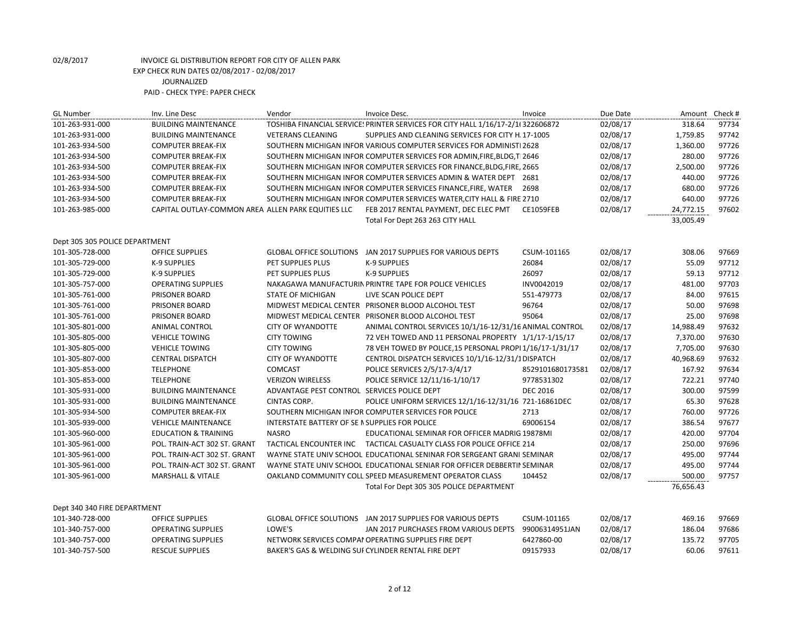| <b>GL Number</b>               | Inv. Line Desc                                     | Vendor                                          | Invoice Desc.                                                                   | Invoice          | Due Date |           | Amount Check # |
|--------------------------------|----------------------------------------------------|-------------------------------------------------|---------------------------------------------------------------------------------|------------------|----------|-----------|----------------|
| 101-263-931-000                | <b>BUILDING MAINTENANCE</b>                        |                                                 | TOSHIBA FINANCIAL SERVICE! PRINTER SERVICES FOR CITY HALL 1/16/17-2/1(322606872 |                  | 02/08/17 | 318.64    | 97734          |
| 101-263-931-000                | <b>BUILDING MAINTENANCE</b>                        | <b>VETERANS CLEANING</b>                        | SUPPLIES AND CLEANING SERVICES FOR CITY H. 17-1005                              |                  | 02/08/17 | 1,759.85  | 97742          |
| 101-263-934-500                | <b>COMPUTER BREAK-FIX</b>                          |                                                 | SOUTHERN MICHIGAN INFOR VARIOUS COMPUTER SERVICES FOR ADMINISTI 2628            |                  | 02/08/17 | 1,360.00  | 97726          |
| 101-263-934-500                | <b>COMPUTER BREAK-FIX</b>                          |                                                 | SOUTHERN MICHIGAN INFOR COMPUTER SERVICES FOR ADMIN, FIRE, BLDG, T 2646         |                  | 02/08/17 | 280.00    | 97726          |
| 101-263-934-500                | <b>COMPUTER BREAK-FIX</b>                          |                                                 | SOUTHERN MICHIGAN INFOR COMPUTER SERVICES FOR FINANCE, BLDG, FIRE, 2665         |                  | 02/08/17 | 2,500.00  | 97726          |
| 101-263-934-500                | <b>COMPUTER BREAK-FIX</b>                          |                                                 | SOUTHERN MICHIGAN INFOR COMPUTER SERVICES ADMIN & WATER DEPT 2681               |                  | 02/08/17 | 440.00    | 97726          |
| 101-263-934-500                | <b>COMPUTER BREAK-FIX</b>                          |                                                 | SOUTHERN MICHIGAN INFOR COMPUTER SERVICES FINANCE, FIRE, WATER                  | 2698             | 02/08/17 | 680.00    | 97726          |
| 101-263-934-500                | <b>COMPUTER BREAK-FIX</b>                          |                                                 | SOUTHERN MICHIGAN INFOR COMPUTER SERVICES WATER, CITY HALL & FIRE 2710          |                  | 02/08/17 | 640.00    | 97726          |
| 101-263-985-000                | CAPITAL OUTLAY-COMMON AREA ALLEN PARK EQUITIES LLC |                                                 | FEB 2017 RENTAL PAYMENT, DEC ELEC PMT                                           | CE1059FEB        | 02/08/17 | 24,772.15 | 97602          |
|                                |                                                    |                                                 | Total For Dept 263 263 CITY HALL                                                |                  |          | 33,005.49 |                |
| Dept 305 305 POLICE DEPARTMENT |                                                    |                                                 |                                                                                 |                  |          |           |                |
| 101-305-728-000                | <b>OFFICE SUPPLIES</b>                             |                                                 | GLOBAL OFFICE SOLUTIONS JAN 2017 SUPPLIES FOR VARIOUS DEPTS                     | CSUM-101165      | 02/08/17 | 308.06    | 97669          |
| 101-305-729-000                | K-9 SUPPLIES                                       | PET SUPPLIES PLUS                               | <b>K-9 SUPPLIES</b>                                                             | 26084            | 02/08/17 | 55.09     | 97712          |
| 101-305-729-000                | K-9 SUPPLIES                                       | PET SUPPLIES PLUS                               | <b>K-9 SUPPLIES</b>                                                             | 26097            | 02/08/17 | 59.13     | 97712          |
| 101-305-757-000                | <b>OPERATING SUPPLIES</b>                          |                                                 | NAKAGAWA MANUFACTURIN PRINTRE TAPE FOR POLICE VEHICLES                          | INV0042019       | 02/08/17 | 481.00    | 97703          |
| 101-305-761-000                | PRISONER BOARD                                     | <b>STATE OF MICHIGAN</b>                        | LIVE SCAN POLICE DEPT                                                           | 551-479773       | 02/08/17 | 84.00     | 97615          |
| 101-305-761-000                | PRISONER BOARD                                     |                                                 | MIDWEST MEDICAL CENTER PRISONER BLOOD ALCOHOL TEST                              | 96764            | 02/08/17 | 50.00     | 97698          |
| 101-305-761-000                | PRISONER BOARD                                     |                                                 | MIDWEST MEDICAL CENTER PRISONER BLOOD ALCOHOL TEST                              | 95064            | 02/08/17 | 25.00     | 97698          |
| 101-305-801-000                | <b>ANIMAL CONTROL</b>                              | <b>CITY OF WYANDOTTE</b>                        | ANIMAL CONTROL SERVICES 10/1/16-12/31/16 ANIMAL CONTROL                         |                  | 02/08/17 | 14,988.49 | 97632          |
| 101-305-805-000                | <b>VEHICLE TOWING</b>                              | <b>CITY TOWING</b>                              | 72 VEH TOWED AND 11 PERSONAL PROPERTY 1/1/17-1/15/17                            |                  | 02/08/17 | 7,370.00  | 97630          |
| 101-305-805-000                | <b>VEHICLE TOWING</b>                              | <b>CITY TOWING</b>                              | 78 VEH TOWED BY POLICE, 15 PERSONAL PROPI 1/16/17-1/31/17                       |                  | 02/08/17 | 7,705.00  | 97630          |
| 101-305-807-000                | <b>CENTRAL DISPATCH</b>                            | <b>CITY OF WYANDOTTE</b>                        | CENTROL DISPATCH SERVICES 10/1/16-12/31/1 DISPATCH                              |                  | 02/08/17 | 40,968.69 | 97632          |
| 101-305-853-000                | <b>TELEPHONE</b>                                   | <b>COMCAST</b>                                  | POLICE SERVICES 2/5/17-3/4/17                                                   | 8529101680173581 | 02/08/17 | 167.92    | 97634          |
| 101-305-853-000                | <b>TELEPHONE</b>                                   | <b>VERIZON WIRELESS</b>                         | POLICE SERVICE 12/11/16-1/10/17                                                 | 9778531302       | 02/08/17 | 722.21    | 97740          |
| 101-305-931-000                | <b>BUILDING MAINTENANCE</b>                        | ADVANTAGE PEST CONTROL SERVICES POLICE DEPT     |                                                                                 | <b>DEC 2016</b>  | 02/08/17 | 300.00    | 97599          |
| 101-305-931-000                | <b>BUILDING MAINTENANCE</b>                        | <b>CINTAS CORP.</b>                             | POLICE UNIFORM SERVICES 12/1/16-12/31/16 721-16861DEC                           |                  | 02/08/17 | 65.30     | 97628          |
| 101-305-934-500                | <b>COMPUTER BREAK-FIX</b>                          |                                                 | SOUTHERN MICHIGAN INFOR COMPUTER SERVICES FOR POLICE                            | 2713             | 02/08/17 | 760.00    | 97726          |
| 101-305-939-000                | <b>VEHICLE MAINTENANCE</b>                         | INTERSTATE BATTERY OF SE IN SUPPLIES FOR POLICE |                                                                                 | 69006154         | 02/08/17 | 386.54    | 97677          |
| 101-305-960-000                | <b>EDUCATION &amp; TRAINING</b>                    | <b>NASRO</b>                                    | EDUCATIONAL SEMINAR FOR OFFICER MADRIG 19878MI                                  |                  | 02/08/17 | 420.00    | 97704          |
| 101-305-961-000                | POL. TRAIN-ACT 302 ST. GRANT                       |                                                 | TACTICAL ENCOUNTER INC TACTICAL CASUALTY CLASS FOR POLICE OFFICE 214            |                  | 02/08/17 | 250.00    | 97696          |
| 101-305-961-000                | POL. TRAIN-ACT 302 ST. GRANT                       |                                                 | WAYNE STATE UNIV SCHOOL EDUCATIONAL SENINAR FOR SERGEANT GRANI SEMINAR          |                  | 02/08/17 | 495.00    | 97744          |
| 101-305-961-000                | POL. TRAIN-ACT 302 ST. GRANT                       |                                                 | WAYNE STATE UNIV SCHOOL EDUCATIONAL SENIAR FOR OFFICER DEBBERTIJ SEMINAR        |                  | 02/08/17 | 495.00    | 97744          |
| 101-305-961-000                | <b>MARSHALL &amp; VITALE</b>                       |                                                 | OAKLAND COMMUNITY COLL SPEED MEASUREMENT OPERATOR CLASS                         | 104452           | 02/08/17 | 500.00    | 97757          |
|                                |                                                    |                                                 | Total For Dept 305 305 POLICE DEPARTMENT                                        |                  |          | 76,656.43 |                |
| Dept 340 340 FIRE DEPARTMENT   |                                                    |                                                 |                                                                                 |                  |          |           |                |
| 101-340-728-000                | OFFICE SUPPLIES                                    |                                                 | GLOBAL OFFICE SOLUTIONS JAN 2017 SUPPLIES FOR VARIOUS DEPTS                     | CSUM-101165      | 02/08/17 | 469.16    | 97669          |
| 101-340-757-000                | <b>OPERATING SUPPLIES</b>                          | LOWE'S                                          | JAN 2017 PURCHASES FROM VARIOUS DEPTS                                           | 99006314951JAN   | 02/08/17 | 186.04    | 97686          |
| 101-340-757-000                | <b>OPERATING SUPPLIES</b>                          |                                                 | NETWORK SERVICES COMPAI OPERATING SUPPLIES FIRE DEPT                            | 6427860-00       | 02/08/17 | 135.72    | 97705          |

101-340-757-500 RESCUE SUPPLIES BAKER'S GAS & WELDING SUPPLY CYLINDER RENTAL FIRE DEPT 09157933 02/08/17 60.06 97611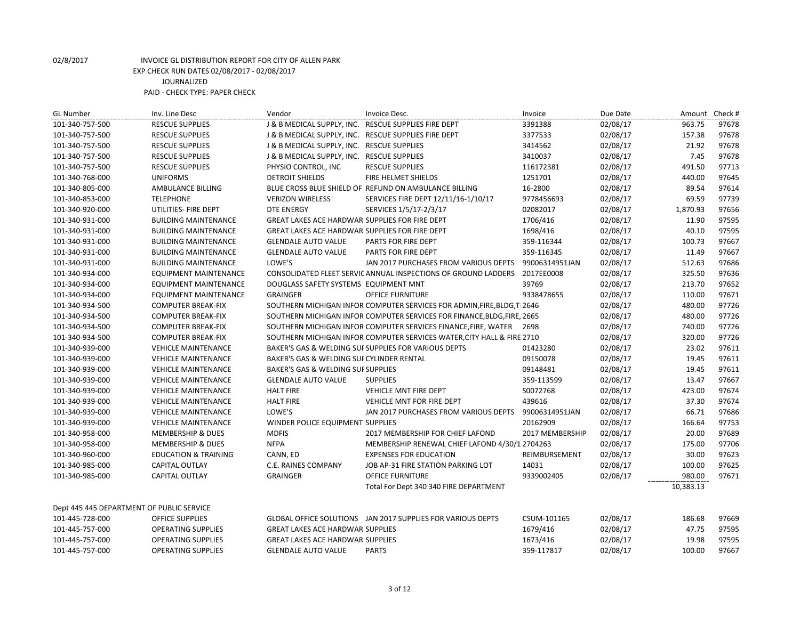| <b>GL Number</b>                          | Inv. Line Desc                  | Vendor                                               | Invoice Desc.                                                           | Invoice         | Due Date |           | Amount Check # |
|-------------------------------------------|---------------------------------|------------------------------------------------------|-------------------------------------------------------------------------|-----------------|----------|-----------|----------------|
| 101-340-757-500                           | <b>RESCUE SUPPLIES</b>          | J & B MEDICAL SUPPLY, INC. RESCUE SUPPLIES FIRE DEPT |                                                                         | 3391388         | 02/08/17 | 963.75    | 97678          |
| 101-340-757-500                           | <b>RESCUE SUPPLIES</b>          | J & B MEDICAL SUPPLY, INC. RESCUE SUPPLIES FIRE DEPT |                                                                         | 3377533         | 02/08/17 | 157.38    | 97678          |
| 101-340-757-500                           | <b>RESCUE SUPPLIES</b>          | J & B MEDICAL SUPPLY, INC. RESCUE SUPPLIES           |                                                                         | 3414562         | 02/08/17 | 21.92     | 97678          |
| 101-340-757-500                           | <b>RESCUE SUPPLIES</b>          | J & B MEDICAL SUPPLY, INC. RESCUE SUPPLIES           |                                                                         | 3410037         | 02/08/17 | 7.45      | 97678          |
| 101-340-757-500                           | <b>RESCUE SUPPLIES</b>          | PHYSIO CONTROL, INC                                  | <b>RESCUE SUPPLIES</b>                                                  | 116172381       | 02/08/17 | 491.50    | 97713          |
| 101-340-768-000                           | <b>UNIFORMS</b>                 | <b>DETROIT SHIELDS</b>                               | FIRE HELMET SHIELDS                                                     | 1251701         | 02/08/17 | 440.00    | 97645          |
| 101-340-805-000                           | AMBULANCE BILLING               |                                                      | BLUE CROSS BLUE SHIELD OF REFUND ON AMBULANCE BILLING                   | 16-2800         | 02/08/17 | 89.54     | 97614          |
| 101-340-853-000                           | <b>TELEPHONE</b>                | <b>VERIZON WIRELESS</b>                              | SERVICES FIRE DEPT 12/11/16-1/10/17                                     | 9778456693      | 02/08/17 | 69.59     | 97739          |
| 101-340-920-000                           | UTILITIES- FIRE DEPT            | <b>DTE ENERGY</b>                                    | SERVICES 1/5/17-2/3/17                                                  | 02082017        | 02/08/17 | 1,870.93  | 97656          |
| 101-340-931-000                           | <b>BUILDING MAINTENANCE</b>     | GREAT LAKES ACE HARDWAR SUPPLIES FOR FIRE DEPT       |                                                                         | 1706/416        | 02/08/17 | 11.90     | 97595          |
| 101-340-931-000                           | <b>BUILDING MAINTENANCE</b>     | GREAT LAKES ACE HARDWAR SUPPLIES FOR FIRE DEPT       |                                                                         | 1698/416        | 02/08/17 | 40.10     | 97595          |
| 101-340-931-000                           | <b>BUILDING MAINTENANCE</b>     | <b>GLENDALE AUTO VALUE</b>                           | PARTS FOR FIRE DEPT                                                     | 359-116344      | 02/08/17 | 100.73    | 97667          |
| 101-340-931-000                           | <b>BUILDING MAINTENANCE</b>     | <b>GLENDALE AUTO VALUE</b>                           | PARTS FOR FIRE DEPT                                                     | 359-116345      | 02/08/17 | 11.49     | 97667          |
| 101-340-931-000                           | <b>BUILDING MAINTENANCE</b>     | LOWE'S                                               | JAN 2017 PURCHASES FROM VARIOUS DEPTS                                   | 99006314951JAN  | 02/08/17 | 512.63    | 97686          |
| 101-340-934-000                           | <b>EQUIPMENT MAINTENANCE</b>    |                                                      | CONSOLIDATED FLEET SERVIC ANNUAL INSPECTIONS OF GROUND LADDERS          | 2017EE0008      | 02/08/17 | 325.50    | 97636          |
| 101-340-934-000                           | <b>EQUIPMENT MAINTENANCE</b>    | DOUGLASS SAFETY SYSTEMS EQUIPMENT MNT                |                                                                         | 39769           | 02/08/17 | 213.70    | 97652          |
| 101-340-934-000                           | <b>EQUIPMENT MAINTENANCE</b>    | <b>GRAINGER</b>                                      | <b>OFFICE FURNITURE</b>                                                 | 9338478655      | 02/08/17 | 110.00    | 97671          |
| 101-340-934-500                           | <b>COMPUTER BREAK-FIX</b>       |                                                      | SOUTHERN MICHIGAN INFOR COMPUTER SERVICES FOR ADMIN, FIRE, BLDG, T 2646 |                 | 02/08/17 | 480.00    | 97726          |
| 101-340-934-500                           | <b>COMPUTER BREAK-FIX</b>       |                                                      | SOUTHERN MICHIGAN INFOR COMPUTER SERVICES FOR FINANCE, BLDG, FIRE, 2665 |                 | 02/08/17 | 480.00    | 97726          |
| 101-340-934-500                           | <b>COMPUTER BREAK-FIX</b>       |                                                      | SOUTHERN MICHIGAN INFOR COMPUTER SERVICES FINANCE, FIRE, WATER 2698     |                 | 02/08/17 | 740.00    | 97726          |
| 101-340-934-500                           | <b>COMPUTER BREAK-FIX</b>       |                                                      | SOUTHERN MICHIGAN INFOR COMPUTER SERVICES WATER, CITY HALL & FIRE 2710  |                 | 02/08/17 | 320.00    | 97726          |
| 101-340-939-000                           | <b>VEHICLE MAINTENANCE</b>      |                                                      | BAKER'S GAS & WELDING SUI SUPPLIES FOR VARIOUS DEPTS                    | 01423280        | 02/08/17 | 23.02     | 97611          |
| 101-340-939-000                           | <b>VEHICLE MAINTENANCE</b>      | BAKER'S GAS & WELDING SUI CYLINDER RENTAL            |                                                                         | 09150078        | 02/08/17 | 19.45     | 97611          |
| 101-340-939-000                           | <b>VEHICLE MAINTENANCE</b>      | BAKER'S GAS & WELDING SUI SUPPLIES                   |                                                                         | 09148481        | 02/08/17 | 19.45     | 97611          |
| 101-340-939-000                           | <b>VEHICLE MAINTENANCE</b>      | <b>GLENDALE AUTO VALUE</b>                           | <b>SUPPLIES</b>                                                         | 359-113599      | 02/08/17 | 13.47     | 97667          |
| 101-340-939-000                           | <b>VEHICLE MAINTENANCE</b>      | <b>HALT FIRE</b>                                     | VEHICLE MNT FIRE DEPT                                                   | S0072768        | 02/08/17 | 423.00    | 97674          |
| 101-340-939-000                           | <b>VEHICLE MAINTENANCE</b>      | <b>HALT FIRE</b>                                     | <b>VEHICLE MNT FOR FIRE DEPT</b>                                        | 439616          | 02/08/17 | 37.30     | 97674          |
| 101-340-939-000                           | <b>VEHICLE MAINTENANCE</b>      | LOWE'S                                               | JAN 2017 PURCHASES FROM VARIOUS DEPTS                                   | 99006314951JAN  | 02/08/17 | 66.71     | 97686          |
| 101-340-939-000                           | <b>VEHICLE MAINTENANCE</b>      | WINDER POLICE EQUIPMENT SUPPLIES                     |                                                                         | 20162909        | 02/08/17 | 166.64    | 97753          |
| 101-340-958-000                           | <b>MEMBERSHIP &amp; DUES</b>    | <b>MDFIS</b>                                         | 2017 MEMBERSHIP FOR CHIEF LAFOND                                        | 2017 MEMBERSHIP | 02/08/17 | 20.00     | 97689          |
| 101-340-958-000                           | <b>MEMBERSHIP &amp; DUES</b>    | <b>NFPA</b>                                          | MEMBERSHIP RENEWAL CHIEF LAFOND 4/30/1 2704263                          |                 | 02/08/17 | 175.00    | 97706          |
| 101-340-960-000                           | <b>EDUCATION &amp; TRAINING</b> | CANN, ED                                             | <b>EXPENSES FOR EDUCATION</b>                                           | REIMBURSEMENT   | 02/08/17 | 30.00     | 97623          |
| 101-340-985-000                           | CAPITAL OUTLAY                  | C.E. RAINES COMPANY                                  | JOB AP-31 FIRE STATION PARKING LOT                                      | 14031           | 02/08/17 | 100.00    | 97625          |
| 101-340-985-000                           | <b>CAPITAL OUTLAY</b>           | <b>GRAINGER</b>                                      | <b>OFFICE FURNITURE</b>                                                 | 9339002405      | 02/08/17 | 980.00    | 97671          |
|                                           |                                 |                                                      | Total For Dept 340 340 FIRE DEPARTMENT                                  |                 |          | 10,383.13 |                |
| Dept 445 445 DEPARTMENT OF PUBLIC SERVICE |                                 |                                                      |                                                                         |                 |          |           |                |
| 101-445-728-000                           | <b>OFFICE SUPPLIES</b>          |                                                      | GLOBAL OFFICE SOLUTIONS JAN 2017 SUPPLIES FOR VARIOUS DEPTS             | CSUM-101165     | 02/08/17 | 186.68    | 97669          |
| 101-445-757-000                           | <b>OPERATING SUPPLIES</b>       | <b>GREAT LAKES ACE HARDWAR SUPPLIES</b>              |                                                                         | 1679/416        | 02/08/17 | 47.75     | 97595          |
| 101-445-757-000                           | <b>OPERATING SUPPLIES</b>       | <b>GREAT LAKES ACE HARDWAR SUPPLIES</b>              |                                                                         | 1673/416        | 02/08/17 | 19.98     | 97595          |
| 101-445-757-000                           | <b>OPERATING SUPPLIES</b>       | <b>GLENDALE AUTO VALUE</b>                           | <b>PARTS</b>                                                            | 359-117817      | 02/08/17 | 100.00    | 97667          |
|                                           |                                 |                                                      |                                                                         |                 |          |           |                |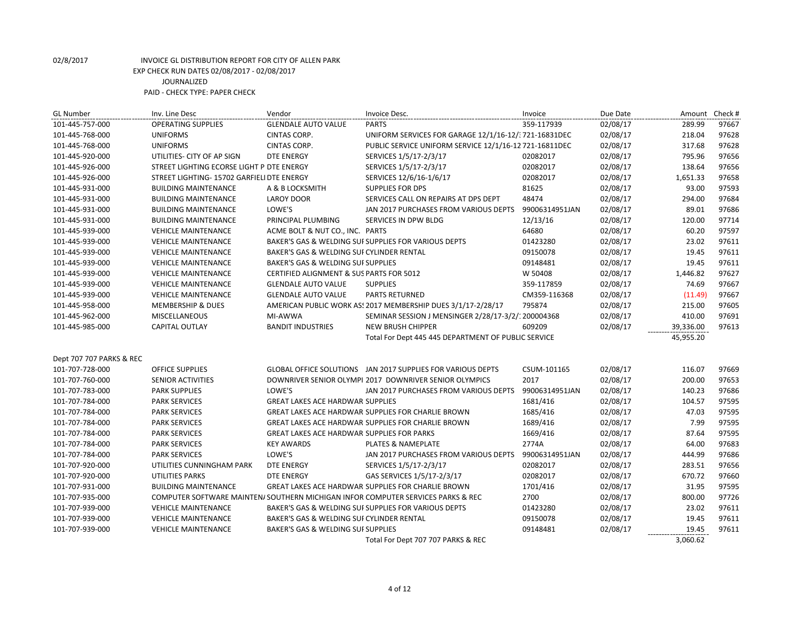| <b>GL Number</b>         | Inv. Line Desc                            | Vendor                                            | Invoice Desc.                                                                    | Invoice        | Due Date | Amount Check # |       |
|--------------------------|-------------------------------------------|---------------------------------------------------|----------------------------------------------------------------------------------|----------------|----------|----------------|-------|
| 101-445-757-000          | <b>OPERATING SUPPLIES</b>                 | <b>GLENDALE AUTO VALUE</b>                        | <b>PARTS</b>                                                                     | 359-117939     | 02/08/17 | 289.99         | 97667 |
| 101-445-768-000          | <b>UNIFORMS</b>                           | CINTAS CORP.                                      | UNIFORM SERVICES FOR GARAGE 12/1/16-12/: 721-16831DEC                            |                | 02/08/17 | 218.04         | 97628 |
| 101-445-768-000          | <b>UNIFORMS</b>                           | <b>CINTAS CORP.</b>                               | PUBLIC SERVICE UNIFORM SERVICE 12/1/16-12 721-16811DEC                           |                | 02/08/17 | 317.68         | 97628 |
| 101-445-920-000          | UTILITIES- CITY OF AP SIGN                | <b>DTE ENERGY</b>                                 | SERVICES 1/5/17-2/3/17                                                           | 02082017       | 02/08/17 | 795.96         | 97656 |
| 101-445-926-000          | STREET LIGHTING ECORSE LIGHT P DTE ENERGY |                                                   | SERVICES 1/5/17-2/3/17                                                           | 02082017       | 02/08/17 | 138.64         | 97656 |
| 101-445-926-000          | STREET LIGHTING-15702 GARFIELI DTE ENERGY |                                                   | SERVICES 12/6/16-1/6/17                                                          | 02082017       | 02/08/17 | 1,651.33       | 97658 |
| 101-445-931-000          | <b>BUILDING MAINTENANCE</b>               | A & B LOCKSMITH                                   | <b>SUPPLIES FOR DPS</b>                                                          | 81625          | 02/08/17 | 93.00          | 97593 |
| 101-445-931-000          | <b>BUILDING MAINTENANCE</b>               | <b>LAROY DOOR</b>                                 | SERVICES CALL ON REPAIRS AT DPS DEPT                                             | 48474          | 02/08/17 | 294.00         | 97684 |
| 101-445-931-000          | <b>BUILDING MAINTENANCE</b>               | LOWE'S                                            | JAN 2017 PURCHASES FROM VARIOUS DEPTS                                            | 99006314951JAN | 02/08/17 | 89.01          | 97686 |
| 101-445-931-000          | <b>BUILDING MAINTENANCE</b>               | PRINCIPAL PLUMBING                                | SERVICES IN DPW BLDG                                                             | 12/13/16       | 02/08/17 | 120.00         | 97714 |
| 101-445-939-000          | <b>VEHICLE MAINTENANCE</b>                | ACME BOLT & NUT CO., INC. PARTS                   |                                                                                  | 64680          | 02/08/17 | 60.20          | 97597 |
| 101-445-939-000          | <b>VEHICLE MAINTENANCE</b>                |                                                   | BAKER'S GAS & WELDING SUI SUPPLIES FOR VARIOUS DEPTS                             | 01423280       | 02/08/17 | 23.02          | 97611 |
| 101-445-939-000          | <b>VEHICLE MAINTENANCE</b>                | BAKER'S GAS & WELDING SUI CYLINDER RENTAL         |                                                                                  | 09150078       | 02/08/17 | 19.45          | 97611 |
| 101-445-939-000          | <b>VEHICLE MAINTENANCE</b>                | BAKER'S GAS & WELDING SUI SUPPLIES                |                                                                                  | 09148481       | 02/08/17 | 19.45          | 97611 |
| 101-445-939-000          | <b>VEHICLE MAINTENANCE</b>                | CERTIFIED ALIGNMENT & SUS PARTS FOR 5012          |                                                                                  | W 50408        | 02/08/17 | 1,446.82       | 97627 |
| 101-445-939-000          | <b>VEHICLE MAINTENANCE</b>                | <b>GLENDALE AUTO VALUE</b>                        | <b>SUPPLIES</b>                                                                  | 359-117859     | 02/08/17 | 74.69          | 97667 |
| 101-445-939-000          | <b>VEHICLE MAINTENANCE</b>                | <b>GLENDALE AUTO VALUE</b>                        | <b>PARTS RETURNED</b>                                                            | CM359-116368   | 02/08/17 | (11.49)        | 97667 |
| 101-445-958-000          | <b>MEMBERSHIP &amp; DUES</b>              |                                                   | AMERICAN PUBLIC WORK AS! 2017 MEMBERSHIP DUES 3/1/17-2/28/17                     | 795874         | 02/08/17 | 215.00         | 97605 |
| 101-445-962-000          | MISCELLANEOUS                             | MI-AWWA                                           | SEMINAR SESSION J MENSINGER 2/28/17-3/2/: 200004368                              |                | 02/08/17 | 410.00         | 97691 |
|                          |                                           |                                                   |                                                                                  |                |          |                |       |
| 101-445-985-000          | CAPITAL OUTLAY                            | <b>BANDIT INDUSTRIES</b>                          | <b>NEW BRUSH CHIPPER</b>                                                         | 609209         | 02/08/17 | 39,336.00      | 97613 |
|                          |                                           |                                                   | Total For Dept 445 445 DEPARTMENT OF PUBLIC SERVICE                              |                |          | 45,955.20      |       |
|                          |                                           |                                                   |                                                                                  |                |          |                |       |
| Dept 707 707 PARKS & REC |                                           |                                                   |                                                                                  |                |          |                |       |
| 101-707-728-000          | <b>OFFICE SUPPLIES</b>                    |                                                   | GLOBAL OFFICE SOLUTIONS JAN 2017 SUPPLIES FOR VARIOUS DEPTS                      | CSUM-101165    | 02/08/17 | 116.07         | 97669 |
| 101-707-760-000          | <b>SENIOR ACTIVITIES</b>                  |                                                   | DOWNRIVER SENIOR OLYMPI 2017 DOWNRIVER SENIOR OLYMPICS                           | 2017           | 02/08/17 | 200.00         | 97653 |
| 101-707-783-000          | PARK SUPPLIES                             | LOWE'S                                            | JAN 2017 PURCHASES FROM VARIOUS DEPTS                                            | 99006314951JAN | 02/08/17 | 140.23         | 97686 |
| 101-707-784-000          | <b>PARK SERVICES</b>                      | <b>GREAT LAKES ACE HARDWAR SUPPLIES</b>           |                                                                                  | 1681/416       | 02/08/17 | 104.57         | 97595 |
| 101-707-784-000          | <b>PARK SERVICES</b>                      |                                                   | GREAT LAKES ACE HARDWAR SUPPLIES FOR CHARLIE BROWN                               | 1685/416       | 02/08/17 | 47.03          | 97595 |
| 101-707-784-000          | <b>PARK SERVICES</b>                      |                                                   | GREAT LAKES ACE HARDWAR SUPPLIES FOR CHARLIE BROWN                               | 1689/416       | 02/08/17 | 7.99           | 97595 |
| 101-707-784-000          | <b>PARK SERVICES</b>                      | <b>GREAT LAKES ACE HARDWAR SUPPLIES FOR PARKS</b> |                                                                                  | 1669/416       | 02/08/17 | 87.64          | 97595 |
| 101-707-784-000          | <b>PARK SERVICES</b>                      | <b>KEY AWARDS</b>                                 | <b>PLATES &amp; NAMEPLATE</b>                                                    | 2774A          | 02/08/17 | 64.00          | 97683 |
| 101-707-784-000          | <b>PARK SERVICES</b>                      | LOWE'S                                            | JAN 2017 PURCHASES FROM VARIOUS DEPTS                                            | 99006314951JAN | 02/08/17 | 444.99         | 97686 |
| 101-707-920-000          | UTILITIES CUNNINGHAM PARK                 | DTE ENERGY                                        | SERVICES 1/5/17-2/3/17                                                           | 02082017       | 02/08/17 | 283.51         | 97656 |
| 101-707-920-000          | <b>UTILITIES PARKS</b>                    | <b>DTE ENERGY</b>                                 | GAS SERVICES 1/5/17-2/3/17                                                       | 02082017       | 02/08/17 | 670.72         | 97660 |
| 101-707-931-000          | <b>BUILDING MAINTENANCE</b>               |                                                   | GREAT LAKES ACE HARDWAR SUPPLIES FOR CHARLIE BROWN                               | 1701/416       | 02/08/17 | 31.95          | 97595 |
| 101-707-935-000          |                                           |                                                   | COMPUTER SOFTWARE MAINTEN/ SOUTHERN MICHIGAN INFOR COMPUTER SERVICES PARKS & REC | 2700           | 02/08/17 | 800.00         | 97726 |
| 101-707-939-000          | <b>VEHICLE MAINTENANCE</b>                |                                                   | BAKER'S GAS & WELDING SUI SUPPLIES FOR VARIOUS DEPTS                             | 01423280       | 02/08/17 | 23.02          | 97611 |
| 101-707-939-000          | <b>VEHICLE MAINTENANCE</b>                | BAKER'S GAS & WELDING SUI CYLINDER RENTAL         |                                                                                  | 09150078       | 02/08/17 | 19.45          | 97611 |
| 101-707-939-000          | <b>VEHICLE MAINTENANCE</b>                | BAKER'S GAS & WELDING SUI SUPPLIES                |                                                                                  | 09148481       | 02/08/17 | 19.45          | 97611 |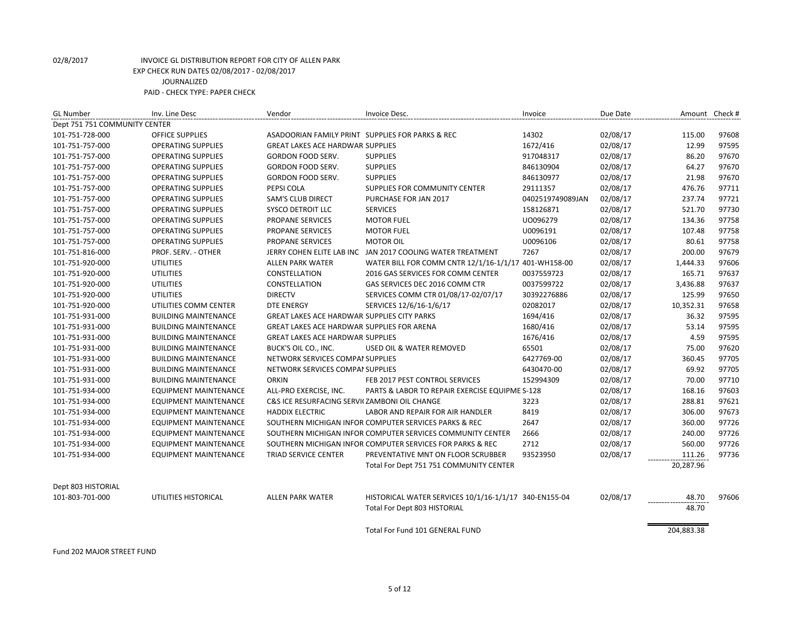| <b>GL Number</b>              | Inv. Line Desc               | Vendor                                             | Invoice Desc.                                              | Invoice          | Due Date | Amount Check # |       |
|-------------------------------|------------------------------|----------------------------------------------------|------------------------------------------------------------|------------------|----------|----------------|-------|
| Dept 751 751 COMMUNITY CENTER |                              |                                                    |                                                            |                  |          |                |       |
| 101-751-728-000               | <b>OFFICE SUPPLIES</b>       |                                                    | ASADOORIAN FAMILY PRINT SUPPLIES FOR PARKS & REC           | 14302            | 02/08/17 | 115.00         | 97608 |
| 101-751-757-000               | <b>OPERATING SUPPLIES</b>    | <b>GREAT LAKES ACE HARDWAR SUPPLIES</b>            |                                                            | 1672/416         | 02/08/17 | 12.99          | 97595 |
| 101-751-757-000               | <b>OPERATING SUPPLIES</b>    | GORDON FOOD SERV.                                  | <b>SUPPLIES</b>                                            | 917048317        | 02/08/17 | 86.20          | 97670 |
| 101-751-757-000               | <b>OPERATING SUPPLIES</b>    | GORDON FOOD SERV.                                  | <b>SUPPLIES</b>                                            | 846130904        | 02/08/17 | 64.27          | 97670 |
| 101-751-757-000               | <b>OPERATING SUPPLIES</b>    | <b>GORDON FOOD SERV.</b>                           | <b>SUPPLIES</b>                                            | 846130977        | 02/08/17 | 21.98          | 97670 |
| 101-751-757-000               | <b>OPERATING SUPPLIES</b>    | PEPSI COLA                                         | SUPPLIES FOR COMMUNITY CENTER                              | 29111357         | 02/08/17 | 476.76         | 97711 |
| 101-751-757-000               | <b>OPERATING SUPPLIES</b>    | <b>SAM'S CLUB DIRECT</b>                           | PURCHASE FOR JAN 2017                                      | 0402519749089JAN | 02/08/17 | 237.74         | 97721 |
| 101-751-757-000               | <b>OPERATING SUPPLIES</b>    | SYSCO DETROIT LLC                                  | <b>SERVICES</b>                                            | 158126871        | 02/08/17 | 521.70         | 97730 |
| 101-751-757-000               | <b>OPERATING SUPPLIES</b>    | PROPANE SERVICES                                   | <b>MOTOR FUEL</b>                                          | U0096279         | 02/08/17 | 134.36         | 97758 |
| 101-751-757-000               | <b>OPERATING SUPPLIES</b>    | PROPANE SERVICES                                   | <b>MOTOR FUEL</b>                                          | U0096191         | 02/08/17 | 107.48         | 97758 |
| 101-751-757-000               | <b>OPERATING SUPPLIES</b>    | PROPANE SERVICES                                   | <b>MOTOR OIL</b>                                           | U0096106         | 02/08/17 | 80.61          | 97758 |
| 101-751-816-000               | PROF. SERV. - OTHER          |                                                    | JERRY COHEN ELITE LAB INC JAN 2017 COOLING WATER TREATMENT | 7267             | 02/08/17 | 200.00         | 97679 |
| 101-751-920-000               | <b>UTILITIES</b>             | <b>ALLEN PARK WATER</b>                            | WATER BILL FOR COMM CNTR 12/1/16-1/1/17 401-WH158-00       |                  | 02/08/17 | 1,444.33       | 97606 |
| 101-751-920-000               | <b>UTILITIES</b>             | CONSTELLATION                                      | 2016 GAS SERVICES FOR COMM CENTER                          | 0037559723       | 02/08/17 | 165.71         | 97637 |
| 101-751-920-000               | <b>UTILITIES</b>             | CONSTELLATION                                      | GAS SERVICES DEC 2016 COMM CTR                             | 0037599722       | 02/08/17 | 3,436.88       | 97637 |
| 101-751-920-000               | <b>UTILITIES</b>             | <b>DIRECTV</b>                                     | SERVICES COMM CTR 01/08/17-02/07/17                        | 30392276886      | 02/08/17 | 125.99         | 97650 |
| 101-751-920-000               | UTILITIES COMM CENTER        | <b>DTE ENERGY</b>                                  | SERVICES 12/6/16-1/6/17                                    | 02082017         | 02/08/17 | 10,352.31      | 97658 |
| 101-751-931-000               | <b>BUILDING MAINTENANCE</b>  | <b>GREAT LAKES ACE HARDWAR SUPPLIES CITY PARKS</b> |                                                            | 1694/416         | 02/08/17 | 36.32          | 97595 |
| 101-751-931-000               | <b>BUILDING MAINTENANCE</b>  | <b>GREAT LAKES ACE HARDWAR SUPPLIES FOR ARENA</b>  |                                                            | 1680/416         | 02/08/17 | 53.14          | 97595 |
| 101-751-931-000               | <b>BUILDING MAINTENANCE</b>  | <b>GREAT LAKES ACE HARDWAR SUPPLIES</b>            |                                                            | 1676/416         | 02/08/17 | 4.59           | 97595 |
| 101-751-931-000               | <b>BUILDING MAINTENANCE</b>  | BUCK'S OIL CO., INC.                               | USED OIL & WATER REMOVED                                   | 65501            | 02/08/17 | 75.00          | 97620 |
| 101-751-931-000               | <b>BUILDING MAINTENANCE</b>  | NETWORK SERVICES COMPAI SUPPLIES                   |                                                            | 6427769-00       | 02/08/17 | 360.45         | 97705 |
| 101-751-931-000               | <b>BUILDING MAINTENANCE</b>  | NETWORK SERVICES COMPAI SUPPLIES                   |                                                            | 6430470-00       | 02/08/17 | 69.92          | 97705 |
| 101-751-931-000               | <b>BUILDING MAINTENANCE</b>  | <b>ORKIN</b>                                       | FEB 2017 PEST CONTROL SERVICES                             | 152994309        | 02/08/17 | 70.00          | 97710 |
| 101-751-934-000               | <b>EQUIPMENT MAINTENANCE</b> | ALL-PRO EXERCISE, INC.                             | PARTS & LABOR TO REPAIR EXERCISE EQUIPME S-128             |                  | 02/08/17 | 168.16         | 97603 |
| 101-751-934-000               | <b>EQUIPMENT MAINTENANCE</b> | C&S ICE RESURFACING SERVI( ZAMBONI OIL CHANGE      |                                                            | 3223             | 02/08/17 | 288.81         | 97621 |
| 101-751-934-000               | <b>EQUIPMENT MAINTENANCE</b> | <b>HADDIX ELECTRIC</b>                             | LABOR AND REPAIR FOR AIR HANDLER                           | 8419             | 02/08/17 | 306.00         | 97673 |
| 101-751-934-000               | <b>EQUIPMENT MAINTENANCE</b> |                                                    | SOUTHERN MICHIGAN INFOR COMPUTER SERVICES PARKS & REC      | 2647             | 02/08/17 | 360.00         | 97726 |
| 101-751-934-000               | <b>EQUIPMENT MAINTENANCE</b> |                                                    | SOUTHERN MICHIGAN INFOR COMPUTER SERVICES COMMUNITY CENTER | 2666             | 02/08/17 | 240.00         | 97726 |
| 101-751-934-000               | <b>EQUIPMENT MAINTENANCE</b> |                                                    | SOUTHERN MICHIGAN INFOR COMPUTER SERVICES FOR PARKS & REC  | 2712             | 02/08/17 | 560.00         | 97726 |
| 101-751-934-000               | <b>EQUIPMENT MAINTENANCE</b> | TRIAD SERVICE CENTER                               | PREVENTATIVE MNT ON FLOOR SCRUBBER                         | 93523950         | 02/08/17 | 111.26         | 97736 |
|                               |                              |                                                    | Total For Dept 751 751 COMMUNITY CENTER                    |                  |          | 20,287.96      |       |
| Dept 803 HISTORIAL            |                              |                                                    |                                                            |                  |          |                |       |
| 101-803-701-000               | UTILITIES HISTORICAL         | <b>ALLEN PARK WATER</b>                            | HISTORICAL WATER SERVICES 10/1/16-1/1/17 340-EN155-04      |                  | 02/08/17 | 48.70          | 97606 |
|                               |                              |                                                    | <b>Total For Dept 803 HISTORIAL</b>                        |                  |          | 48.70          |       |
|                               |                              |                                                    | Total For Fund 101 GENERAL FUND                            |                  |          | 204,883.38     |       |

Fund 202 MAJOR STREET FUND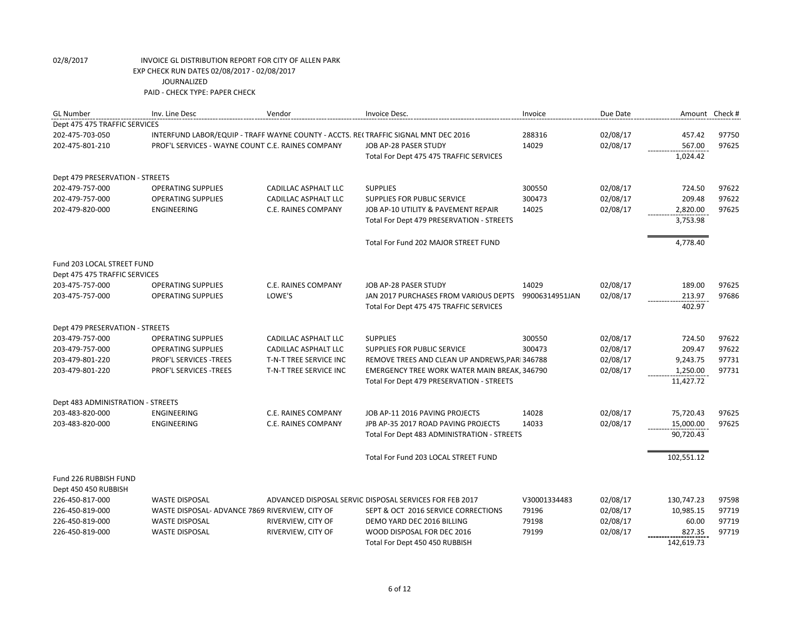| <b>GL Number</b>                                     | Inv. Line Desc                                                                     | Vendor                 | Invoice Desc.                                           | Invoice        | Due Date | Amount Check # |       |
|------------------------------------------------------|------------------------------------------------------------------------------------|------------------------|---------------------------------------------------------|----------------|----------|----------------|-------|
| Dept 475 475 TRAFFIC SERVICES                        |                                                                                    |                        |                                                         |                |          |                |       |
| 202-475-703-050                                      | INTERFUND LABOR/EQUIP - TRAFF WAYNE COUNTY - ACCTS. RECTRAFFIC SIGNAL MNT DEC 2016 |                        |                                                         | 288316         | 02/08/17 | 457.42         | 97750 |
| 202-475-801-210                                      | PROF'L SERVICES - WAYNE COUNT C.E. RAINES COMPANY                                  |                        | JOB AP-28 PASER STUDY                                   | 14029          | 02/08/17 | 567.00         | 97625 |
|                                                      |                                                                                    |                        | Total For Dept 475 475 TRAFFIC SERVICES                 |                |          | 1,024.42       |       |
|                                                      |                                                                                    |                        |                                                         |                |          |                |       |
| Dept 479 PRESERVATION - STREETS                      |                                                                                    |                        |                                                         |                |          |                |       |
| 202-479-757-000                                      | <b>OPERATING SUPPLIES</b>                                                          | CADILLAC ASPHALT LLC   | <b>SUPPLIES</b>                                         | 300550         | 02/08/17 | 724.50         | 97622 |
| 202-479-757-000                                      | <b>OPERATING SUPPLIES</b>                                                          | CADILLAC ASPHALT LLC   | SUPPLIES FOR PUBLIC SERVICE                             | 300473         | 02/08/17 | 209.48         | 97622 |
| 202-479-820-000                                      | <b>ENGINEERING</b>                                                                 | C.E. RAINES COMPANY    | JOB AP-10 UTILITY & PAVEMENT REPAIR                     | 14025          | 02/08/17 | 2,820.00       | 97625 |
|                                                      |                                                                                    |                        | Total For Dept 479 PRESERVATION - STREETS               |                |          | 3,753.98       |       |
|                                                      |                                                                                    |                        |                                                         |                |          |                |       |
|                                                      |                                                                                    |                        | Total For Fund 202 MAJOR STREET FUND                    |                |          | 4,778.40       |       |
| Fund 203 LOCAL STREET FUND                           |                                                                                    |                        |                                                         |                |          |                |       |
| Dept 475 475 TRAFFIC SERVICES                        |                                                                                    |                        |                                                         |                |          |                |       |
| 203-475-757-000                                      | <b>OPERATING SUPPLIES</b>                                                          | C.E. RAINES COMPANY    | JOB AP-28 PASER STUDY                                   | 14029          | 02/08/17 | 189.00         | 97625 |
| 203-475-757-000                                      | <b>OPERATING SUPPLIES</b>                                                          | LOWE'S                 | JAN 2017 PURCHASES FROM VARIOUS DEPTS                   | 99006314951JAN | 02/08/17 | 213.97         | 97686 |
|                                                      |                                                                                    |                        | Total For Dept 475 475 TRAFFIC SERVICES                 |                |          | 402.97         |       |
|                                                      |                                                                                    |                        |                                                         |                |          |                |       |
| Dept 479 PRESERVATION - STREETS                      |                                                                                    |                        |                                                         |                |          |                |       |
| 203-479-757-000                                      | <b>OPERATING SUPPLIES</b>                                                          | CADILLAC ASPHALT LLC   | <b>SUPPLIES</b>                                         | 300550         | 02/08/17 | 724.50         | 97622 |
| 203-479-757-000                                      | <b>OPERATING SUPPLIES</b>                                                          | CADILLAC ASPHALT LLC   | SUPPLIES FOR PUBLIC SERVICE                             | 300473         | 02/08/17 | 209.47         | 97622 |
| 203-479-801-220                                      | PROF'L SERVICES - TREES                                                            | T-N-T TREE SERVICE INC | REMOVE TREES AND CLEAN UP ANDREWS, PARI 346788          |                | 02/08/17 | 9,243.75       | 97731 |
| 203-479-801-220                                      | PROF'L SERVICES - TREES                                                            | T-N-T TREE SERVICE INC | EMERGENCY TREE WORK WATER MAIN BREAK, 346790            |                | 02/08/17 | 1,250.00       | 97731 |
|                                                      |                                                                                    |                        | Total For Dept 479 PRESERVATION - STREETS               |                |          | 11,427.72      |       |
|                                                      |                                                                                    |                        |                                                         |                |          |                |       |
| Dept 483 ADMINISTRATION - STREETS<br>203-483-820-000 | ENGINEERING                                                                        | C.E. RAINES COMPANY    | JOB AP-11 2016 PAVING PROJECTS                          | 14028          | 02/08/17 | 75,720.43      | 97625 |
| 203-483-820-000                                      | <b>ENGINEERING</b>                                                                 | C.E. RAINES COMPANY    | JPB AP-35 2017 ROAD PAVING PROJECTS                     | 14033          | 02/08/17 | 15,000.00      | 97625 |
|                                                      |                                                                                    |                        | Total For Dept 483 ADMINISTRATION - STREETS             |                |          | 90,720.43      |       |
|                                                      |                                                                                    |                        |                                                         |                |          |                |       |
|                                                      |                                                                                    |                        | Total For Fund 203 LOCAL STREET FUND                    |                |          | 102,551.12     |       |
|                                                      |                                                                                    |                        |                                                         |                |          |                |       |
| Fund 226 RUBBISH FUND                                |                                                                                    |                        |                                                         |                |          |                |       |
| Dept 450 450 RUBBISH                                 |                                                                                    |                        |                                                         |                |          |                |       |
| 226-450-817-000                                      | <b>WASTE DISPOSAL</b>                                                              |                        | ADVANCED DISPOSAL SERVIC DISPOSAL SERVICES FOR FEB 2017 | V30001334483   | 02/08/17 | 130,747.23     | 97598 |
| 226-450-819-000                                      | WASTE DISPOSAL- ADVANCE 7869 RIVERVIEW, CITY OF                                    |                        | SEPT & OCT 2016 SERVICE CORRECTIONS                     | 79196          | 02/08/17 | 10,985.15      | 97719 |
| 226-450-819-000                                      | <b>WASTE DISPOSAL</b>                                                              | RIVERVIEW, CITY OF     | DEMO YARD DEC 2016 BILLING                              | 79198          | 02/08/17 | 60.00          | 97719 |
| 226-450-819-000                                      | <b>WASTE DISPOSAL</b>                                                              | RIVERVIEW, CITY OF     | WOOD DISPOSAL FOR DEC 2016                              | 79199          | 02/08/17 | 827.35         | 97719 |
|                                                      |                                                                                    |                        | Total For Dept 450 450 RUBBISH                          |                |          | 142,619.73     |       |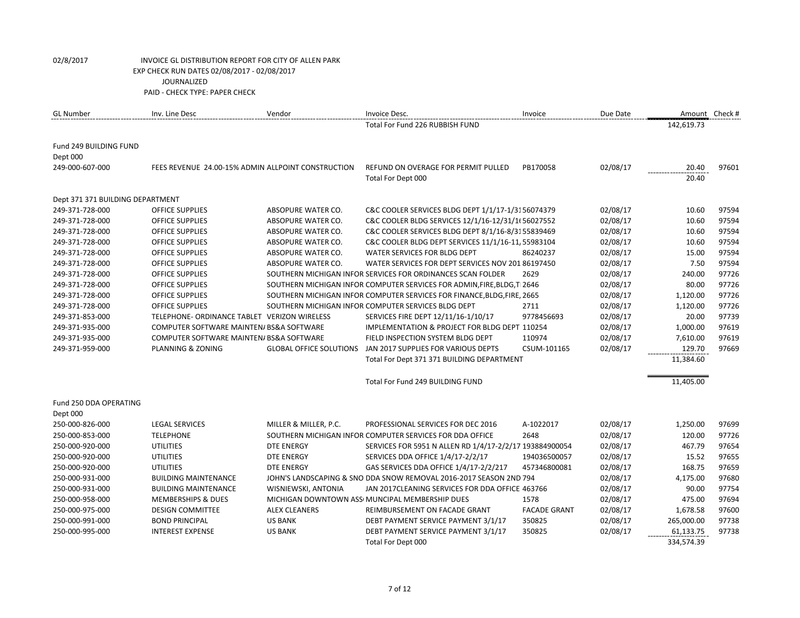| <b>GL Number</b>                 | Inv. Line Desc                               | Vendor                                             | Invoice Desc.                                                           | Invoice             | Due Date | Amount Check # |       |
|----------------------------------|----------------------------------------------|----------------------------------------------------|-------------------------------------------------------------------------|---------------------|----------|----------------|-------|
|                                  |                                              |                                                    | Total For Fund 226 RUBBISH FUND                                         |                     |          | 142,619.73     |       |
| Fund 249 BUILDING FUND           |                                              |                                                    |                                                                         |                     |          |                |       |
| Dept 000                         |                                              |                                                    |                                                                         |                     |          |                |       |
| 249-000-607-000                  |                                              | FEES REVENUE 24.00-15% ADMIN ALLPOINT CONSTRUCTION | REFUND ON OVERAGE FOR PERMIT PULLED                                     | PB170058            | 02/08/17 | 20.40          | 97601 |
|                                  |                                              |                                                    | Total For Dept 000                                                      |                     |          | 20.40          |       |
| Dept 371 371 BUILDING DEPARTMENT |                                              |                                                    |                                                                         |                     |          |                |       |
| 249-371-728-000                  | <b>OFFICE SUPPLIES</b>                       | ABSOPURE WATER CO.                                 | C&C COOLER SERVICES BLDG DEPT 1/1/17-1/3156074379                       |                     | 02/08/17 | 10.60          | 97594 |
| 249-371-728-000                  | <b>OFFICE SUPPLIES</b>                       | ABSOPURE WATER CO.                                 | C&C COOLER BLDG SERVICES 12/1/16-12/31/1(56027552                       |                     | 02/08/17 | 10.60          | 97594 |
| 249-371-728-000                  | <b>OFFICE SUPPLIES</b>                       | ABSOPURE WATER CO.                                 | C&C COOLER SERVICES BLDG DEPT 8/1/16-8/3155839469                       |                     | 02/08/17 | 10.60          | 97594 |
| 249-371-728-000                  | <b>OFFICE SUPPLIES</b>                       | ABSOPURE WATER CO.                                 | C&C COOLER BLDG DEPT SERVICES 11/1/16-11, 55983104                      |                     | 02/08/17 | 10.60          | 97594 |
| 249-371-728-000                  | <b>OFFICE SUPPLIES</b>                       | ABSOPURE WATER CO.                                 | WATER SERVICES FOR BLDG DEPT                                            | 86240237            | 02/08/17 | 15.00          | 97594 |
| 249-371-728-000                  | <b>OFFICE SUPPLIES</b>                       | ABSOPURE WATER CO.                                 | WATER SERVICES FOR DEPT SERVICES NOV 201 86197450                       |                     | 02/08/17 | 7.50           | 97594 |
| 249-371-728-000                  | <b>OFFICE SUPPLIES</b>                       |                                                    | SOUTHERN MICHIGAN INFOR SERVICES FOR ORDINANCES SCAN FOLDER             | 2629                | 02/08/17 | 240.00         | 97726 |
| 249-371-728-000                  | <b>OFFICE SUPPLIES</b>                       |                                                    | SOUTHERN MICHIGAN INFOR COMPUTER SERVICES FOR ADMIN, FIRE, BLDG, T 2646 |                     | 02/08/17 | 80.00          | 97726 |
| 249-371-728-000                  | <b>OFFICE SUPPLIES</b>                       |                                                    | SOUTHERN MICHIGAN INFOR COMPUTER SERVICES FOR FINANCE, BLDG, FIRE, 2665 |                     | 02/08/17 | 1,120.00       | 97726 |
| 249-371-728-000                  | <b>OFFICE SUPPLIES</b>                       |                                                    | SOUTHERN MICHIGAN INFOR COMPUTER SERVICES BLDG DEPT                     | 2711                | 02/08/17 | 1,120.00       | 97726 |
| 249-371-853-000                  | TELEPHONE- ORDINANCE TABLET VERIZON WIRELESS |                                                    | SERVICES FIRE DEPT 12/11/16-1/10/17                                     | 9778456693          | 02/08/17 | 20.00          | 97739 |
| 249-371-935-000                  | COMPUTER SOFTWARE MAINTEN/ BS&A SOFTWARE     |                                                    | IMPLEMENTATION & PROJECT FOR BLDG DEPT 110254                           |                     | 02/08/17 | 1,000.00       | 97619 |
| 249-371-935-000                  | COMPUTER SOFTWARE MAINTEN/ BS&A SOFTWARE     |                                                    | FIELD INSPECTION SYSTEM BLDG DEPT                                       | 110974              | 02/08/17 | 7,610.00       | 97619 |
| 249-371-959-000                  | PLANNING & ZONING                            | <b>GLOBAL OFFICE SOLUTIONS</b>                     | JAN 2017 SUPPLIES FOR VARIOUS DEPTS                                     | CSUM-101165         | 02/08/17 | 129.70         | 97669 |
|                                  |                                              |                                                    | Total For Dept 371 371 BUILDING DEPARTMENT                              |                     |          | 11,384.60      |       |
|                                  |                                              |                                                    | Total For Fund 249 BUILDING FUND                                        |                     |          | 11,405.00      |       |
| Fund 250 DDA OPERATING           |                                              |                                                    |                                                                         |                     |          |                |       |
| Dept 000                         |                                              |                                                    |                                                                         |                     |          |                |       |
| 250-000-826-000                  | <b>LEGAL SERVICES</b>                        | MILLER & MILLER, P.C.                              | PROFESSIONAL SERVICES FOR DEC 2016                                      | A-1022017           | 02/08/17 | 1,250.00       | 97699 |
| 250-000-853-000                  | <b>TELEPHONE</b>                             |                                                    | SOUTHERN MICHIGAN INFOR COMPUTER SERVICES FOR DDA OFFICE                | 2648                | 02/08/17 | 120.00         | 97726 |
| 250-000-920-000                  | <b>UTILITIES</b>                             | <b>DTE ENERGY</b>                                  | SERVICES FOR 5951 N ALLEN RD 1/4/17-2/2/17 193884900054                 |                     | 02/08/17 | 467.79         | 97654 |
| 250-000-920-000                  | <b>UTILITIES</b>                             | <b>DTE ENERGY</b>                                  | SERVICES DDA OFFICE 1/4/17-2/2/17                                       | 194036500057        | 02/08/17 | 15.52          | 97655 |
| 250-000-920-000                  | <b>UTILITIES</b>                             | <b>DTE ENERGY</b>                                  | GAS SERVICES DDA OFFICE 1/4/17-2/2/217                                  | 457346800081        | 02/08/17 | 168.75         | 97659 |
| 250-000-931-000                  | <b>BUILDING MAINTENANCE</b>                  |                                                    | JOHN'S LANDSCAPING & SNO DDA SNOW REMOVAL 2016-2017 SEASON 2ND 794      |                     | 02/08/17 | 4,175.00       | 97680 |
| 250-000-931-000                  | <b>BUILDING MAINTENANCE</b>                  | WISNIEWSKI, ANTONIA                                | JAN 2017CLEANING SERVICES FOR DDA OFFICE 463766                         |                     | 02/08/17 | 90.00          | 97754 |
| 250-000-958-000                  | <b>MEMBERSHIPS &amp; DUES</b>                |                                                    | MICHIGAN DOWNTOWN ASS MUNCIPAL MEMBERSHIP DUES                          | 1578                | 02/08/17 | 475.00         | 97694 |
| 250-000-975-000                  | <b>DESIGN COMMITTEE</b>                      | <b>ALEX CLEANERS</b>                               | REIMBURSEMENT ON FACADE GRANT                                           | <b>FACADE GRANT</b> | 02/08/17 | 1,678.58       | 97600 |
| 250-000-991-000                  | <b>BOND PRINCIPAL</b>                        | <b>US BANK</b>                                     | DEBT PAYMENT SERVICE PAYMENT 3/1/17                                     | 350825              | 02/08/17 | 265,000.00     | 97738 |
| 250-000-995-000                  | <b>INTEREST EXPENSE</b>                      | <b>US BANK</b>                                     | DEBT PAYMENT SERVICE PAYMENT 3/1/17                                     | 350825              | 02/08/17 | 61,133.75      | 97738 |
|                                  |                                              |                                                    | Total For Dept 000                                                      |                     |          | 334,574.39     |       |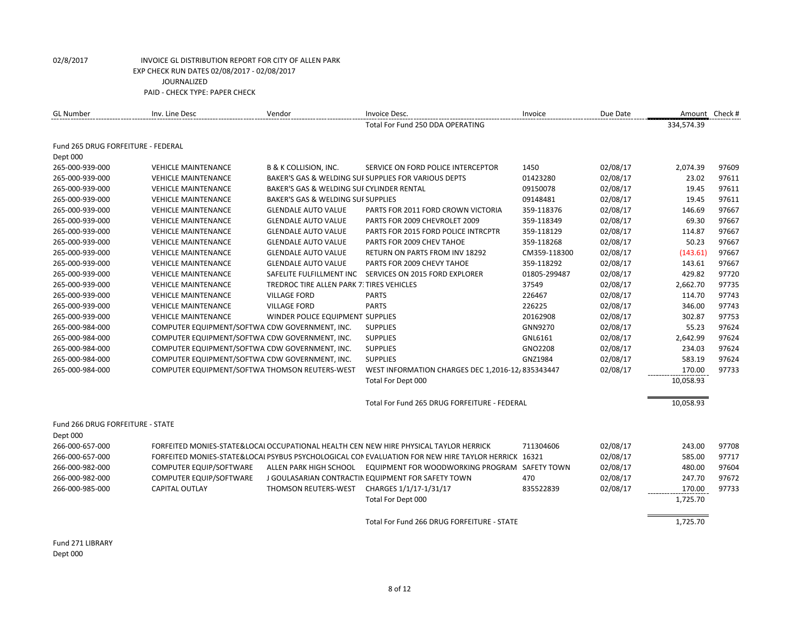| <b>GL Number</b>                   | Inv. Line Desc                                 | Vendor                                    | Invoice Desc.                                                                                      | Invoice      | Due Date |            | Amount Check # |
|------------------------------------|------------------------------------------------|-------------------------------------------|----------------------------------------------------------------------------------------------------|--------------|----------|------------|----------------|
|                                    |                                                |                                           | Total For Fund 250 DDA OPERATING                                                                   |              |          | 334,574.39 |                |
| Fund 265 DRUG FORFEITURE - FEDERAL |                                                |                                           |                                                                                                    |              |          |            |                |
| Dept 000                           |                                                |                                           |                                                                                                    |              |          |            |                |
| 265-000-939-000                    | <b>VEHICLE MAINTENANCE</b>                     | <b>B &amp; K COLLISION, INC.</b>          | SERVICE ON FORD POLICE INTERCEPTOR                                                                 | 1450         | 02/08/17 | 2,074.39   | 97609          |
| 265-000-939-000                    | <b>VEHICLE MAINTENANCE</b>                     |                                           | BAKER'S GAS & WELDING SUF SUPPLIES FOR VARIOUS DEPTS                                               | 01423280     | 02/08/17 | 23.02      | 97611          |
| 265-000-939-000                    | <b>VEHICLE MAINTENANCE</b>                     | BAKER'S GAS & WELDING SUI CYLINDER RENTAL |                                                                                                    | 09150078     | 02/08/17 | 19.45      | 97611          |
| 265-000-939-000                    | <b>VEHICLE MAINTENANCE</b>                     | BAKER'S GAS & WELDING SUI SUPPLIES        |                                                                                                    | 09148481     | 02/08/17 | 19.45      | 97611          |
| 265-000-939-000                    | <b>VEHICLE MAINTENANCE</b>                     | <b>GLENDALE AUTO VALUE</b>                | PARTS FOR 2011 FORD CROWN VICTORIA                                                                 | 359-118376   | 02/08/17 | 146.69     | 97667          |
| 265-000-939-000                    | <b>VEHICLE MAINTENANCE</b>                     | <b>GLENDALE AUTO VALUE</b>                | PARTS FOR 2009 CHEVROLET 2009                                                                      | 359-118349   | 02/08/17 | 69.30      | 97667          |
| 265-000-939-000                    | <b>VEHICLE MAINTENANCE</b>                     | <b>GLENDALE AUTO VALUE</b>                | PARTS FOR 2015 FORD POLICE INTRCPTR                                                                | 359-118129   | 02/08/17 | 114.87     | 97667          |
| 265-000-939-000                    | <b>VEHICLE MAINTENANCE</b>                     | <b>GLENDALE AUTO VALUE</b>                | PARTS FOR 2009 CHEV TAHOE                                                                          | 359-118268   | 02/08/17 | 50.23      | 97667          |
| 265-000-939-000                    | <b>VEHICLE MAINTENANCE</b>                     | <b>GLENDALE AUTO VALUE</b>                | <b>RETURN ON PARTS FROM INV 18292</b>                                                              | CM359-118300 | 02/08/17 | (143.61)   | 97667          |
| 265-000-939-000                    | <b>VEHICLE MAINTENANCE</b>                     | <b>GLENDALE AUTO VALUE</b>                | PARTS FOR 2009 CHEVY TAHOE                                                                         | 359-118292   | 02/08/17 | 143.61     | 97667          |
| 265-000-939-000                    | <b>VEHICLE MAINTENANCE</b>                     |                                           | SAFELITE FULFILLMENT INC SERVICES ON 2015 FORD EXPLORER                                            | 01805-299487 | 02/08/17 | 429.82     | 97720          |
| 265-000-939-000                    | <b>VEHICLE MAINTENANCE</b>                     | TREDROC TIRE ALLEN PARK 7: TIRES VEHICLES |                                                                                                    | 37549        | 02/08/17 | 2,662.70   | 97735          |
| 265-000-939-000                    | <b>VEHICLE MAINTENANCE</b>                     | <b>VILLAGE FORD</b>                       | <b>PARTS</b>                                                                                       | 226467       | 02/08/17 | 114.70     | 97743          |
| 265-000-939-000                    | <b>VEHICLE MAINTENANCE</b>                     | <b>VILLAGE FORD</b>                       | <b>PARTS</b>                                                                                       | 226225       | 02/08/17 | 346.00     | 97743          |
| 265-000-939-000                    | <b>VEHICLE MAINTENANCE</b>                     | WINDER POLICE EQUIPMENT SUPPLIES          |                                                                                                    | 20162908     | 02/08/17 | 302.87     | 97753          |
| 265-000-984-000                    | COMPUTER EQUIPMENT/SOFTWA CDW GOVERNMENT, INC. |                                           | <b>SUPPLIES</b>                                                                                    | GNN9270      | 02/08/17 | 55.23      | 97624          |
| 265-000-984-000                    | COMPUTER EQUIPMENT/SOFTWA CDW GOVERNMENT, INC. |                                           | <b>SUPPLIES</b>                                                                                    | GNL6161      | 02/08/17 | 2,642.99   | 97624          |
| 265-000-984-000                    | COMPUTER EQUIPMENT/SOFTWA CDW GOVERNMENT, INC. |                                           | <b>SUPPLIES</b>                                                                                    | GNO2208      | 02/08/17 | 234.03     | 97624          |
| 265-000-984-000                    | COMPUTER EQUIPMENT/SOFTWA CDW GOVERNMENT, INC. |                                           | <b>SUPPLIES</b>                                                                                    | GNZ1984      | 02/08/17 | 583.19     | 97624          |
| 265-000-984-000                    | COMPUTER EQUIPMENT/SOFTWA THOMSON REUTERS-WEST |                                           | WEST INFORMATION CHARGES DEC 1,2016-12, 835343447                                                  |              | 02/08/17 | 170.00     | 97733          |
|                                    |                                                |                                           | Total For Dept 000                                                                                 |              |          | 10,058.93  |                |
|                                    |                                                |                                           | Total For Fund 265 DRUG FORFEITURE - FEDERAL                                                       |              |          | 10,058.93  |                |
| Fund 266 DRUG FORFEITURE - STATE   |                                                |                                           |                                                                                                    |              |          |            |                |
| Dept 000                           |                                                |                                           |                                                                                                    |              |          |            |                |
| 266-000-657-000                    |                                                |                                           | FORFEITED MONIES-STATE&LOCAL OCCUPATIONAL HEALTH CEN NEW HIRE PHYSICAL TAYLOR HERRICK              | 711304606    | 02/08/17 | 243.00     | 97708          |
| 266-000-657-000                    |                                                |                                           | FORFEITED MONIES-STATE&LOCAI PSYBUS PSYCHOLOGICAL CON EVALUATION FOR NEW HIRE TAYLOR HERRICK 16321 |              | 02/08/17 | 585.00     | 97717          |
| 266-000-982-000                    | COMPUTER EQUIP/SOFTWARE                        | ALLEN PARK HIGH SCHOOL                    | EQUIPMENT FOR WOODWORKING PROGRAM SAFETY TOWN                                                      |              | 02/08/17 | 480.00     | 97604          |
| 266-000-982-000                    | COMPUTER EQUIP/SOFTWARE                        |                                           | J GOULASARIAN CONTRACTIN EQUIPMENT FOR SAFETY TOWN                                                 | 470          | 02/08/17 | 247.70     | 97672          |
| 266-000-985-000                    | <b>CAPITAL OUTLAY</b>                          | THOMSON REUTERS-WEST                      | CHARGES 1/1/17-1/31/17                                                                             | 835522839    | 02/08/17 | 170.00     | 97733          |
|                                    |                                                |                                           | Total For Dept 000                                                                                 |              |          | 1,725.70   |                |
|                                    |                                                |                                           | Total For Fund 266 DRUG FORFEITURE - STATE                                                         |              |          | 1,725.70   |                |
|                                    |                                                |                                           |                                                                                                    |              |          |            |                |

Fund 271 LIBRARY Dept 000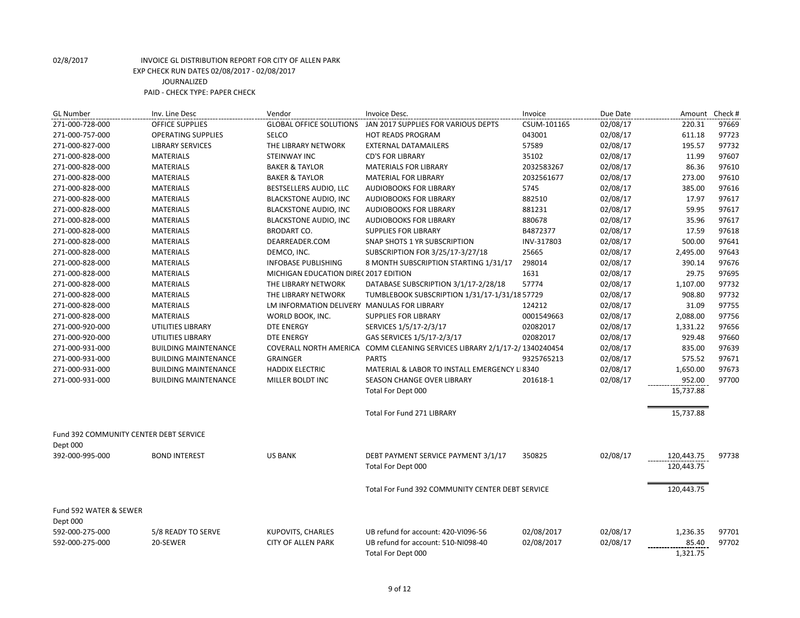| <b>GL Number</b>                                          | Inv. Line Desc              | Vendor                                      | Invoice Desc.                                      | Invoice     | Due Date | Amount Check # |       |
|-----------------------------------------------------------|-----------------------------|---------------------------------------------|----------------------------------------------------|-------------|----------|----------------|-------|
| 271-000-728-000                                           | <b>OFFICE SUPPLIES</b>      | <b>GLOBAL OFFICE SOLUTIONS</b>              | JAN 2017 SUPPLIES FOR VARIOUS DEPTS                | CSUM-101165 | 02/08/17 | 220.31         | 97669 |
| 271-000-757-000                                           | <b>OPERATING SUPPLIES</b>   | SELCO                                       | <b>HOT READS PROGRAM</b>                           | 043001      | 02/08/17 | 611.18         | 97723 |
| 271-000-827-000                                           | <b>LIBRARY SERVICES</b>     | THE LIBRARY NETWORK                         | <b>EXTERNAL DATAMAILERS</b>                        | 57589       | 02/08/17 | 195.57         | 97732 |
| 271-000-828-000                                           | <b>MATERIALS</b>            | <b>STEINWAY INC</b>                         | <b>CD'S FOR LIBRARY</b>                            | 35102       | 02/08/17 | 11.99          | 97607 |
| 271-000-828-000                                           | <b>MATERIALS</b>            | <b>BAKER &amp; TAYLOR</b>                   | <b>MATERIALS FOR LIBRARY</b>                       | 2032583267  | 02/08/17 | 86.36          | 97610 |
| 271-000-828-000                                           | <b>MATERIALS</b>            | <b>BAKER &amp; TAYLOR</b>                   | <b>MATERIAL FOR LIBRARY</b>                        | 2032561677  | 02/08/17 | 273.00         | 97610 |
| 271-000-828-000                                           | <b>MATERIALS</b>            | BESTSELLERS AUDIO, LLC                      | <b>AUDIOBOOKS FOR LIBRARY</b>                      | 5745        | 02/08/17 | 385.00         | 97616 |
| 271-000-828-000                                           | <b>MATERIALS</b>            | <b>BLACKSTONE AUDIO, INC</b>                | <b>AUDIOBOOKS FOR LIBRARY</b>                      | 882510      | 02/08/17 | 17.97          | 97617 |
| 271-000-828-000                                           | <b>MATERIALS</b>            | <b>BLACKSTONE AUDIO, INC</b>                | <b>AUDIOBOOKS FOR LIBRARY</b>                      | 881231      | 02/08/17 | 59.95          | 97617 |
| 271-000-828-000                                           | <b>MATERIALS</b>            | <b>BLACKSTONE AUDIO, INC</b>                | <b>AUDIOBOOKS FOR LIBRARY</b>                      | 880678      | 02/08/17 | 35.96          | 97617 |
| 271-000-828-000                                           | <b>MATERIALS</b>            | <b>BRODART CO.</b>                          | <b>SUPPLIES FOR LIBRARY</b>                        | B4872377    | 02/08/17 | 17.59          | 97618 |
| 271-000-828-000                                           | <b>MATERIALS</b>            | DEARREADER.COM                              | SNAP SHOTS 1 YR SUBSCRIPTION                       | INV-317803  | 02/08/17 | 500.00         | 97641 |
| 271-000-828-000                                           | <b>MATERIALS</b>            | DEMCO, INC.                                 | SUBSCRIPTION FOR 3/25/17-3/27/18                   | 25665       | 02/08/17 | 2,495.00       | 97643 |
| 271-000-828-000                                           | <b>MATERIALS</b>            | <b>INFOBASE PUBLISHING</b>                  | 8 MONTH SUBSCRIPTION STARTING 1/31/17              | 298014      | 02/08/17 | 390.14         | 97676 |
| 271-000-828-000                                           | <b>MATERIALS</b>            | MICHIGAN EDUCATION DIRE(2017 EDITION        |                                                    | 1631        | 02/08/17 | 29.75          | 97695 |
| 271-000-828-000                                           | <b>MATERIALS</b>            | THE LIBRARY NETWORK                         | DATABASE SUBSCRIPTION 3/1/17-2/28/18               | 57774       | 02/08/17 | 1,107.00       | 97732 |
| 271-000-828-000                                           | <b>MATERIALS</b>            | THE LIBRARY NETWORK                         | TUMBLEBOOK SUBSCRIPTION 1/31/17-1/31/18 57729      |             | 02/08/17 | 908.80         | 97732 |
| 271-000-828-000                                           | <b>MATERIALS</b>            | LM INFORMATION DELIVERY MANULAS FOR LIBRARY |                                                    | 124212      | 02/08/17 | 31.09          | 97755 |
| 271-000-828-000                                           | <b>MATERIALS</b>            | WORLD BOOK, INC.                            | <b>SUPPLIES FOR LIBRARY</b>                        | 0001549663  | 02/08/17 | 2,088.00       | 97756 |
| 271-000-920-000                                           | UTILITIES LIBRARY           | <b>DTE ENERGY</b>                           | SERVICES 1/5/17-2/3/17                             | 02082017    | 02/08/17 | 1,331.22       | 97656 |
| 271-000-920-000                                           | UTILITIES LIBRARY           | <b>DTE ENERGY</b>                           | GAS SERVICES 1/5/17-2/3/17                         | 02082017    | 02/08/17 | 929.48         | 97660 |
| 271-000-931-000                                           | <b>BUILDING MAINTENANCE</b> | COVERALL NORTH AMERICA                      | COMM CLEANING SERVICES LIBRARY 2/1/17-2/1340240454 |             | 02/08/17 | 835.00         | 97639 |
| 271-000-931-000                                           | <b>BUILDING MAINTENANCE</b> | <b>GRAINGER</b>                             | <b>PARTS</b>                                       | 9325765213  | 02/08/17 | 575.52         | 97671 |
| 271-000-931-000                                           | <b>BUILDING MAINTENANCE</b> | <b>HADDIX ELECTRIC</b>                      | MATERIAL & LABOR TO INSTALL EMERGENCY LI 8340      |             | 02/08/17 | 1,650.00       | 97673 |
| 271-000-931-000                                           | <b>BUILDING MAINTENANCE</b> | MILLER BOLDT INC                            | SEASON CHANGE OVER LIBRARY                         | 201618-1    | 02/08/17 | 952.00         | 97700 |
|                                                           |                             |                                             | Total For Dept 000                                 |             |          | 15,737.88      |       |
|                                                           |                             |                                             | Total For Fund 271 LIBRARY                         |             |          | 15,737.88      |       |
| <b>Fund 392 COMMUNITY CENTER DEBT SERVICE</b><br>Dept 000 |                             |                                             |                                                    |             |          |                |       |
| 392-000-995-000                                           | <b>BOND INTEREST</b>        | <b>US BANK</b>                              | DEBT PAYMENT SERVICE PAYMENT 3/1/17                | 350825      | 02/08/17 | 120,443.75     | 97738 |
|                                                           |                             |                                             | Total For Dept 000                                 |             |          | 120,443.75     |       |
|                                                           |                             |                                             | Total For Fund 392 COMMUNITY CENTER DEBT SERVICE   |             |          | 120,443.75     |       |
|                                                           |                             |                                             |                                                    |             |          |                |       |
| Fund 592 WATER & SEWER<br>Dept 000                        |                             |                                             |                                                    |             |          |                |       |
| 592-000-275-000                                           | 5/8 READY TO SERVE          | <b>KUPOVITS, CHARLES</b>                    | UB refund for account: 420-VI096-56                | 02/08/2017  | 02/08/17 | 1,236.35       | 97701 |
| 592-000-275-000                                           | 20-SEWER                    | <b>CITY OF ALLEN PARK</b>                   | UB refund for account: 510-NI098-40                | 02/08/2017  | 02/08/17 | 85.40          | 97702 |
|                                                           |                             |                                             | Total For Dept 000                                 |             |          | 1,321.75       |       |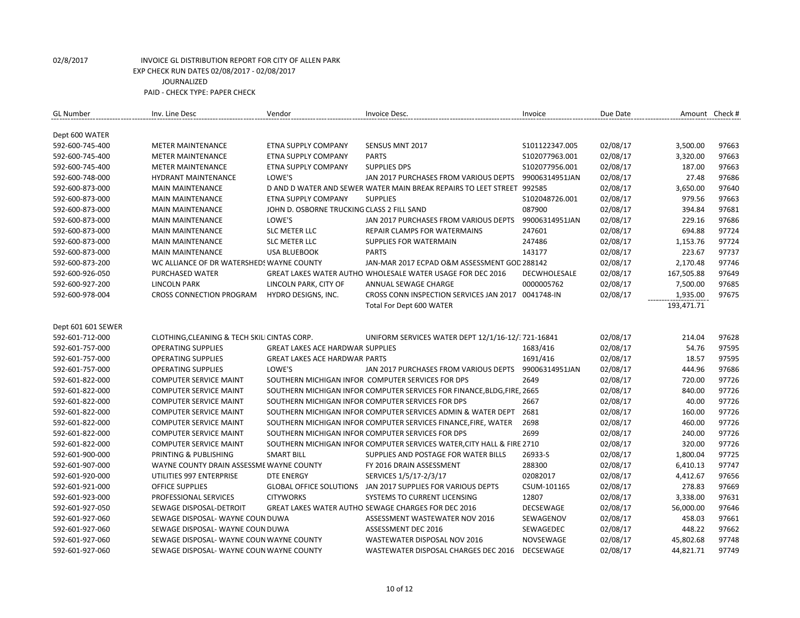| <b>GL Number</b>   | Inv. Line Desc                               | Vendor                                     | Invoice Desc.                                                           | Invoice          | Due Date | Amount Check # |       |
|--------------------|----------------------------------------------|--------------------------------------------|-------------------------------------------------------------------------|------------------|----------|----------------|-------|
| Dept 600 WATER     |                                              |                                            |                                                                         |                  |          |                |       |
| 592-600-745-400    | <b>METER MAINTENANCE</b>                     | ETNA SUPPLY COMPANY                        | SENSUS MNT 2017                                                         | S101122347.005   | 02/08/17 | 3,500.00       | 97663 |
| 592-600-745-400    | <b>METER MAINTENANCE</b>                     | ETNA SUPPLY COMPANY                        | <b>PARTS</b>                                                            | S102077963.001   | 02/08/17 | 3,320.00       | 97663 |
| 592-600-745-400    | <b>METER MAINTENANCE</b>                     | ETNA SUPPLY COMPANY                        | <b>SUPPLIES DPS</b>                                                     | S102077956.001   | 02/08/17 | 187.00         | 97663 |
| 592-600-748-000    | <b>HYDRANT MAINTENANCE</b>                   | LOWE'S                                     | JAN 2017 PURCHASES FROM VARIOUS DEPTS                                   | 99006314951JAN   | 02/08/17 | 27.48          | 97686 |
| 592-600-873-000    | <b>MAIN MAINTENANCE</b>                      |                                            | D AND D WATER AND SEWER WATER MAIN BREAK REPAIRS TO LEET STREET 992585  |                  | 02/08/17 | 3,650.00       | 97640 |
| 592-600-873-000    | <b>MAIN MAINTENANCE</b>                      | ETNA SUPPLY COMPANY                        | <b>SUPPLIES</b>                                                         | S102048726.001   | 02/08/17 | 979.56         | 97663 |
| 592-600-873-000    | <b>MAIN MAINTENANCE</b>                      | JOHN D. OSBORNE TRUCKING CLASS 2 FILL SAND |                                                                         | 087900           | 02/08/17 | 394.84         | 97681 |
| 592-600-873-000    | <b>MAIN MAINTENANCE</b>                      | LOWE'S                                     | JAN 2017 PURCHASES FROM VARIOUS DEPTS                                   | 99006314951JAN   | 02/08/17 | 229.16         | 97686 |
| 592-600-873-000    | <b>MAIN MAINTENANCE</b>                      | <b>SLC METER LLC</b>                       | REPAIR CLAMPS FOR WATERMAINS                                            | 247601           | 02/08/17 | 694.88         | 97724 |
| 592-600-873-000    | <b>MAIN MAINTENANCE</b>                      | <b>SLC METER LLC</b>                       | SUPPLIES FOR WATERMAIN                                                  | 247486           | 02/08/17 | 1,153.76       | 97724 |
| 592-600-873-000    | <b>MAIN MAINTENANCE</b>                      | <b>USA BLUEBOOK</b>                        | <b>PARTS</b>                                                            | 143177           | 02/08/17 | 223.67         | 97737 |
| 592-600-873-200    | WC ALLIANCE OF DR WATERSHEDS WAYNE COUNTY    |                                            | JAN-MAR 2017 ECPAD O&M ASSESSMENT GOD 288142                            |                  | 02/08/17 | 2,170.48       | 97746 |
| 592-600-926-050    | PURCHASED WATER                              |                                            | GREAT LAKES WATER AUTHO WHOLESALE WATER USAGE FOR DEC 2016              | DECWHOLESALE     | 02/08/17 | 167,505.88     | 97649 |
| 592-600-927-200    | LINCOLN PARK                                 | LINCOLN PARK, CITY OF                      | ANNUAL SEWAGE CHARGE                                                    | 0000005762       | 02/08/17 | 7,500.00       | 97685 |
| 592-600-978-004    | <b>CROSS CONNECTION PROGRAM</b>              | HYDRO DESIGNS, INC.                        | CROSS CONN INSPECTION SERVICES JAN 2017 0041748-IN                      |                  | 02/08/17 | 1,935.00       | 97675 |
|                    |                                              |                                            | Total For Dept 600 WATER                                                |                  |          | 193,471.71     |       |
|                    |                                              |                                            |                                                                         |                  |          |                |       |
| Dept 601 601 SEWER |                                              |                                            |                                                                         |                  |          |                |       |
| 592-601-712-000    | CLOTHING, CLEANING & TECH SKILI CINTAS CORP. |                                            | UNIFORM SERVICES WATER DEPT 12/1/16-12/ 721-16841                       |                  | 02/08/17 | 214.04         | 97628 |
| 592-601-757-000    | <b>OPERATING SUPPLIES</b>                    | <b>GREAT LAKES ACE HARDWAR SUPPLIES</b>    |                                                                         | 1683/416         | 02/08/17 | 54.76          | 97595 |
| 592-601-757-000    | <b>OPERATING SUPPLIES</b>                    | <b>GREAT LAKES ACE HARDWAR PARTS</b>       |                                                                         | 1691/416         | 02/08/17 | 18.57          | 97595 |
| 592-601-757-000    | <b>OPERATING SUPPLIES</b>                    | LOWE'S                                     | JAN 2017 PURCHASES FROM VARIOUS DEPTS                                   | 99006314951JAN   | 02/08/17 | 444.96         | 97686 |
| 592-601-822-000    | <b>COMPUTER SERVICE MAINT</b>                |                                            | SOUTHERN MICHIGAN INFOR COMPUTER SERVICES FOR DPS                       | 2649             | 02/08/17 | 720.00         | 97726 |
| 592-601-822-000    | <b>COMPUTER SERVICE MAINT</b>                |                                            | SOUTHERN MICHIGAN INFOR COMPUTER SERVICES FOR FINANCE, BLDG, FIRE, 2665 |                  | 02/08/17 | 840.00         | 97726 |
| 592-601-822-000    | <b>COMPUTER SERVICE MAINT</b>                |                                            | SOUTHERN MICHIGAN INFOR COMPUTER SERVICES FOR DPS                       | 2667             | 02/08/17 | 40.00          | 97726 |
| 592-601-822-000    | <b>COMPUTER SERVICE MAINT</b>                |                                            | SOUTHERN MICHIGAN INFOR COMPUTER SERVICES ADMIN & WATER DEPT            | 2681             | 02/08/17 | 160.00         | 97726 |
| 592-601-822-000    | <b>COMPUTER SERVICE MAINT</b>                |                                            | SOUTHERN MICHIGAN INFOR COMPUTER SERVICES FINANCE, FIRE, WATER          | 2698             | 02/08/17 | 460.00         | 97726 |
| 592-601-822-000    | <b>COMPUTER SERVICE MAINT</b>                |                                            | SOUTHERN MICHIGAN INFOR COMPUTER SERVICES FOR DPS                       | 2699             | 02/08/17 | 240.00         | 97726 |
| 592-601-822-000    | <b>COMPUTER SERVICE MAINT</b>                |                                            | SOUTHERN MICHIGAN INFOR COMPUTER SERVICES WATER, CITY HALL & FIRE 2710  |                  | 02/08/17 | 320.00         | 97726 |
| 592-601-900-000    | PRINTING & PUBLISHING                        | <b>SMART BILL</b>                          | SUPPLIES AND POSTAGE FOR WATER BILLS                                    | 26933-S          | 02/08/17 | 1,800.04       | 97725 |
| 592-601-907-000    | WAYNE COUNTY DRAIN ASSESSME WAYNE COUNTY     |                                            | FY 2016 DRAIN ASSESSMENT                                                | 288300           | 02/08/17 | 6,410.13       | 97747 |
| 592-601-920-000    | UTILITIES 997 ENTERPRISE                     | <b>DTE ENERGY</b>                          | SERVICES 1/5/17-2/3/17                                                  | 02082017         | 02/08/17 | 4,412.67       | 97656 |
| 592-601-921-000    | <b>OFFICE SUPPLIES</b>                       | <b>GLOBAL OFFICE SOLUTIONS</b>             | JAN 2017 SUPPLIES FOR VARIOUS DEPTS                                     | CSUM-101165      | 02/08/17 | 278.83         | 97669 |
| 592-601-923-000    | PROFESSIONAL SERVICES                        | <b>CITYWORKS</b>                           | SYSTEMS TO CURRENT LICENSING                                            | 12807            | 02/08/17 | 3,338.00       | 97631 |
| 592-601-927-050    | SEWAGE DISPOSAL-DETROIT                      |                                            | GREAT LAKES WATER AUTHO SEWAGE CHARGES FOR DEC 2016                     | DECSEWAGE        | 02/08/17 | 56,000.00      | 97646 |
| 592-601-927-060    | SEWAGE DISPOSAL-WAYNE COUN DUWA              |                                            | ASSESSMENT WASTEWATER NOV 2016                                          | SEWAGENOV        | 02/08/17 | 458.03         | 97661 |
| 592-601-927-060    | SEWAGE DISPOSAL- WAYNE COUN DUWA             |                                            | ASSESSMENT DEC 2016                                                     | SEWAGEDEC        | 02/08/17 | 448.22         | 97662 |
| 592-601-927-060    | SEWAGE DISPOSAL- WAYNE COUN WAYNE COUNTY     |                                            | WASTEWATER DISPOSAL NOV 2016                                            | <b>NOVSEWAGE</b> | 02/08/17 | 45,802.68      | 97748 |
| 592-601-927-060    | SEWAGE DISPOSAL-WAYNE COUN WAYNE COUNTY      |                                            | WASTEWATER DISPOSAL CHARGES DEC 2016                                    | DECSEWAGE        | 02/08/17 | 44,821.71      | 97749 |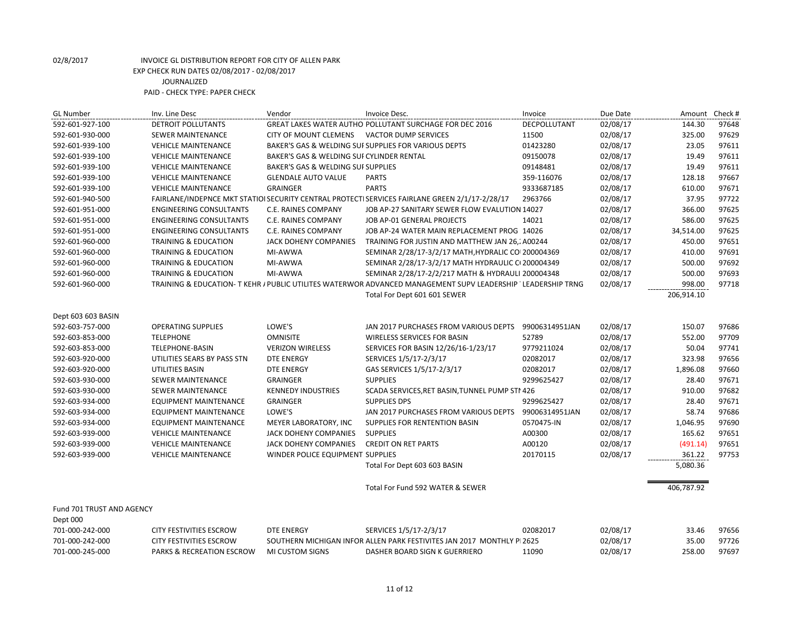| <b>GL Number</b>          | Inv. Line Desc                  | Vendor                                    | Invoice Desc.                                                                                                | Invoice        | Due Date | Amount Check # |       |
|---------------------------|---------------------------------|-------------------------------------------|--------------------------------------------------------------------------------------------------------------|----------------|----------|----------------|-------|
| 592-601-927-100           | DETROIT POLLUTANTS              |                                           | GREAT LAKES WATER AUTHO POLLUTANT SURCHAGE FOR DEC 2016                                                      | DECPOLLUTANT   | 02/08/17 | 144.30         | 97648 |
| 592-601-930-000           | SEWER MAINTENANCE               | <b>CITY OF MOUNT CLEMENS</b>              | <b>VACTOR DUMP SERVICES</b>                                                                                  | 11500          | 02/08/17 | 325.00         | 97629 |
| 592-601-939-100           | <b>VEHICLE MAINTENANCE</b>      |                                           | BAKER'S GAS & WELDING SUI SUPPLIES FOR VARIOUS DEPTS                                                         | 01423280       | 02/08/17 | 23.05          | 97611 |
| 592-601-939-100           | <b>VEHICLE MAINTENANCE</b>      | BAKER'S GAS & WELDING SUI CYLINDER RENTAL |                                                                                                              | 09150078       | 02/08/17 | 19.49          | 97611 |
| 592-601-939-100           | <b>VEHICLE MAINTENANCE</b>      | BAKER'S GAS & WELDING SUI SUPPLIES        |                                                                                                              | 09148481       | 02/08/17 | 19.49          | 97611 |
| 592-601-939-100           | <b>VEHICLE MAINTENANCE</b>      | <b>GLENDALE AUTO VALUE</b>                | <b>PARTS</b>                                                                                                 | 359-116076     | 02/08/17 | 128.18         | 97667 |
| 592-601-939-100           | <b>VEHICLE MAINTENANCE</b>      | GRAINGER                                  | <b>PARTS</b>                                                                                                 | 9333687185     | 02/08/17 | 610.00         | 97671 |
| 592-601-940-500           |                                 |                                           | FAIRLANE/INDEPNCE MKT STATIOI SECURITY CENTRAL PROTECTI SERVICES FAIRLANE GREEN 2/1/17-2/28/17               | 2963766        | 02/08/17 | 37.95          | 97722 |
| 592-601-951-000           | <b>ENGINEERING CONSULTANTS</b>  | C.E. RAINES COMPANY                       | JOB AP-27 SANITARY SEWER FLOW EVALUTION 14027                                                                |                | 02/08/17 | 366.00         | 97625 |
| 592-601-951-000           | <b>ENGINEERING CONSULTANTS</b>  | C.E. RAINES COMPANY                       | JOB AP-01 GENERAL PROJECTS                                                                                   | 14021          | 02/08/17 | 586.00         | 97625 |
| 592-601-951-000           | <b>ENGINEERING CONSULTANTS</b>  | <b>C.E. RAINES COMPANY</b>                | JOB AP-24 WATER MAIN REPLACEMENT PROG 14026                                                                  |                | 02/08/17 | 34,514.00      | 97625 |
| 592-601-960-000           | <b>TRAINING &amp; EDUCATION</b> | <b>JACK DOHENY COMPANIES</b>              | TRAINING FOR JUSTIN AND MATTHEW JAN 26, A00244                                                               |                | 02/08/17 | 450.00         | 97651 |
| 592-601-960-000           | <b>TRAINING &amp; EDUCATION</b> | MI-AWWA                                   | SEMINAR 2/28/17-3/2/17 MATH, HYDRALIC CO 200004369                                                           |                | 02/08/17 | 410.00         | 97691 |
| 592-601-960-000           | <b>TRAINING &amp; EDUCATION</b> | MI-AWWA                                   | SEMINAR 2/28/17-3/2/17 MATH HYDRAULIC CI 200004349                                                           |                | 02/08/17 | 500.00         | 97692 |
| 592-601-960-000           | <b>TRAINING &amp; EDUCATION</b> | MI-AWWA                                   | SEMINAR 2/28/17-2/2/217 MATH & HYDRAULI 200004348                                                            |                | 02/08/17 | 500.00         | 97693 |
| 592-601-960-000           |                                 |                                           | TRAINING & EDUCATION- T KEHR / PUBLIC UTILITES WATERWOR ADVANCED MANAGEMENT SUPV LEADERSHIP 'LEADERSHIP TRNG |                | 02/08/17 | 998.00         | 97718 |
|                           |                                 |                                           | Total For Dept 601 601 SEWER                                                                                 |                |          | 206,914.10     |       |
| Dept 603 603 BASIN        |                                 |                                           |                                                                                                              |                |          |                |       |
| 592-603-757-000           | <b>OPERATING SUPPLIES</b>       | LOWE'S                                    | JAN 2017 PURCHASES FROM VARIOUS DEPTS                                                                        | 99006314951JAN | 02/08/17 | 150.07         | 97686 |
| 592-603-853-000           | <b>TELEPHONE</b>                | <b>OMNISITE</b>                           | <b>WIRELESS SERVICES FOR BASIN</b>                                                                           | 52789          | 02/08/17 | 552.00         | 97709 |
| 592-603-853-000           | <b>TELEPHONE-BASIN</b>          | <b>VERIZON WIRELESS</b>                   | SERVICES FOR BASIN 12/26/16-1/23/17                                                                          | 9779211024     | 02/08/17 | 50.04          | 97741 |
| 592-603-920-000           | UTILITIES SEARS BY PASS STN     | <b>DTE ENERGY</b>                         | SERVICES 1/5/17-2/3/17                                                                                       | 02082017       | 02/08/17 | 323.98         | 97656 |
| 592-603-920-000           | UTILITIES BASIN                 | <b>DTE ENERGY</b>                         | GAS SERVICES 1/5/17-2/3/17                                                                                   | 02082017       | 02/08/17 | 1,896.08       | 97660 |
| 592-603-930-000           | SEWER MAINTENANCE               | <b>GRAINGER</b>                           | <b>SUPPLIES</b>                                                                                              | 9299625427     | 02/08/17 | 28.40          | 97671 |
| 592-603-930-000           | <b>SEWER MAINTENANCE</b>        | <b>KENNEDY INDUSTRIES</b>                 | SCADA SERVICES, RET BASIN, TUNNEL PUMP STI 426                                                               |                | 02/08/17 | 910.00         | 97682 |
| 592-603-934-000           | <b>EQUIPMENT MAINTENANCE</b>    | <b>GRAINGER</b>                           | <b>SUPPLIES DPS</b>                                                                                          | 9299625427     | 02/08/17 | 28.40          | 97671 |
| 592-603-934-000           | <b>EQUIPMENT MAINTENANCE</b>    | LOWE'S                                    | JAN 2017 PURCHASES FROM VARIOUS DEPTS                                                                        | 99006314951JAN | 02/08/17 | 58.74          | 97686 |
| 592-603-934-000           | EQUIPMENT MAINTENANCE           | MEYER LABORATORY, INC                     | SUPPLIES FOR RENTENTION BASIN                                                                                | 0570475-IN     | 02/08/17 | 1,046.95       | 97690 |
| 592-603-939-000           | <b>VEHICLE MAINTENANCE</b>      | <b>JACK DOHENY COMPANIES</b>              | <b>SUPPLIES</b>                                                                                              | A00300         | 02/08/17 | 165.62         | 97651 |
| 592-603-939-000           | <b>VEHICLE MAINTENANCE</b>      | <b>JACK DOHENY COMPANIES</b>              | <b>CREDIT ON RET PARTS</b>                                                                                   | A00120         | 02/08/17 | (491.14)       | 97651 |
| 592-603-939-000           | <b>VEHICLE MAINTENANCE</b>      | WINDER POLICE EQUIPMENT SUPPLIES          |                                                                                                              | 20170115       | 02/08/17 | 361.22         | 97753 |
|                           |                                 |                                           | Total For Dept 603 603 BASIN                                                                                 |                |          | 5,080.36       |       |
|                           |                                 |                                           | Total For Fund 592 WATER & SEWER                                                                             |                |          | 406,787.92     |       |
| Fund 701 TRUST AND AGENCY |                                 |                                           |                                                                                                              |                |          |                |       |
| Dept 000                  |                                 |                                           |                                                                                                              |                |          |                |       |
| 701-000-242-000           | <b>CITY FESTIVITIES ESCROW</b>  | <b>DTE ENERGY</b>                         | SERVICES 1/5/17-2/3/17                                                                                       | 02082017       | 02/08/17 | 33.46          | 97656 |
| 701-000-242-000           | <b>CITY FESTIVITIES ESCROW</b>  |                                           | SOUTHERN MICHIGAN INFOR ALLEN PARK FESTIVITES JAN 2017 MONTHLY PI 2625                                       |                | 02/08/17 | 35.00          | 97726 |

701-000-245-000 PARKS & RECREATION ESCROW MI CUSTOM SIGNS DASHER BOARD SIGN K GUERRIERO 11090 02/08/17 258.00 97697